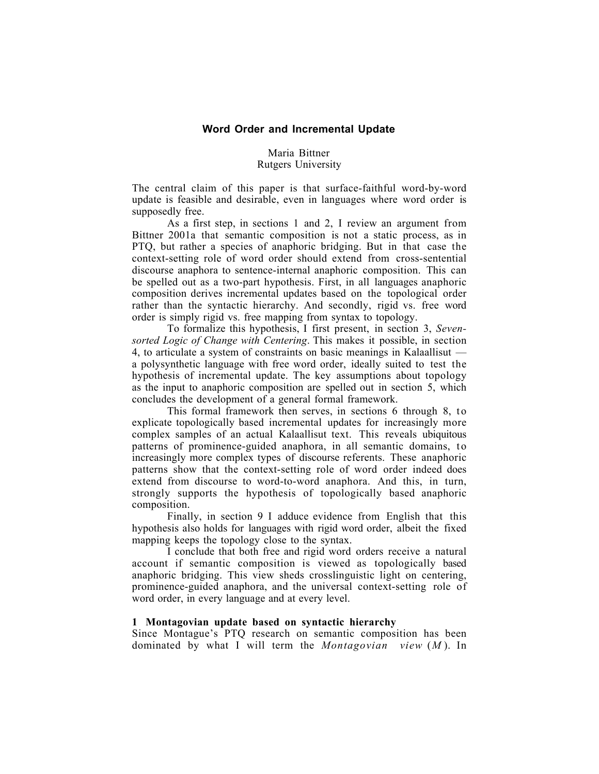# **Word Order and Incremental Update**

## Maria Bittner Rutgers University

The central claim of this paper is that surface-faithful word-by-word update is feasible and desirable, even in languages where word order is supposedly free.

As a first step, in sections 1 and 2, I review an argument from Bittner 2001a that semantic composition is not a static process, as in PTQ, but rather a species of anaphoric bridging. But in that case the context-setting role of word order should extend from cross-sentential discourse anaphora to sentence-internal anaphoric composition. This can be spelled out as a two-part hypothesis. First, in all languages anaphoric composition derives incremental updates based on the topological order rather than the syntactic hierarchy. And secondly, rigid vs. free word order is simply rigid vs. free mapping from syntax to topology.

To formalize this hypothesis, I first present, in section 3, *Sevensorted Logic of Change with Centering*. This makes it possible, in section 4, to articulate a system of constraints on basic meanings in Kalaallisut a polysynthetic language with free word order, ideally suited to test the hypothesis of incremental update. The key assumptions about topology as the input to anaphoric composition are spelled out in section 5, which concludes the development of a general formal framework.

This formal framework then serves, in sections 6 through 8, to explicate topologically based incremental updates for increasingly more complex samples of an actual Kalaallisut text. This reveals ubiquitous patterns of prominence-guided anaphora, in all semantic domains, to increasingly more complex types of discourse referents. These anaphoric patterns show that the context-setting role of word order indeed does extend from discourse to word-to-word anaphora. And this, in turn, strongly supports the hypothesis of topologically based anaphoric composition.

Finally, in section 9 I adduce evidence from English that this hypothesis also holds for languages with rigid word order, albeit the fixed mapping keeps the topology close to the syntax.

I conclude that both free and rigid word orders receive a natural account if semantic composition is viewed as topologically based anaphoric bridging. This view sheds crosslinguistic light on centering, prominence-guided anaphora, and the universal context-setting role of word order, in every language and at every level.

#### 1 Montagovian update based on syntactic hierarchy

Since Montague's PTQ research on semantic composition has been dominated by what I will term the *Montagovian view* (*M* ). In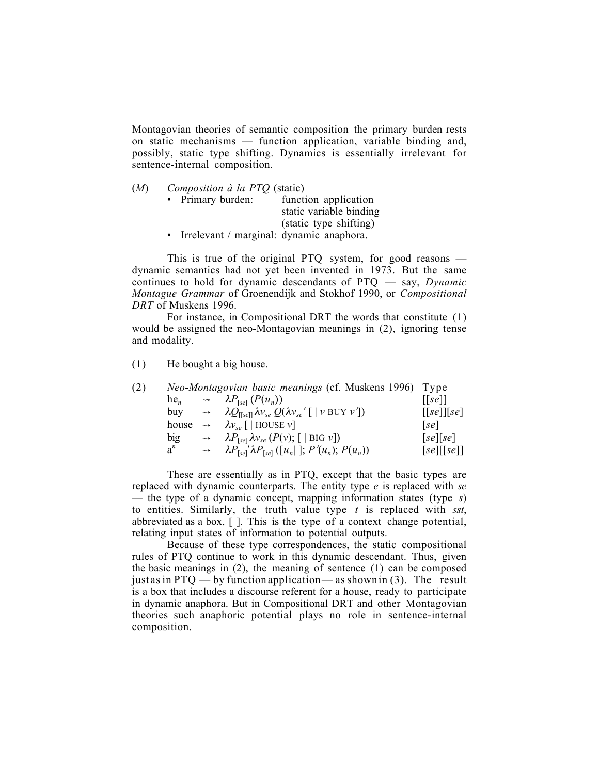Montagovian theories of semantic composition the primary burden rests on static mechanisms — function application, variable binding and, possibly, static type shifting. Dynamics is essentially irrelevant for sentence-internal composition.

| (M) | Composition à la PTQ (static) |  |  |
|-----|-------------------------------|--|--|
|-----|-------------------------------|--|--|

• Primary burden: function application static variable binding (static type shifting)

• Irrelevant / marginal: dynamic anaphora.

This is true of the original PTQ system, for good reasons dynamic semantics had not yet been invented in 1973. But the same continues to hold for dynamic descendants of PTQ — say, *Dynamic Montague Grammar* of Groenendijk and Stokhof 1990, or *Compositional DRT* of Muskens 1996.

For instance, in Compositional DRT the words that constitute (1) would be assigned the neo-Montagovian meanings in (2), ignoring tense and modality.

(1) He bought a big house.

| (2) |        |               | Neo-Montagovian basic meanings (cf. Muskens 1996) Type                                                           |                                                           |
|-----|--------|---------------|------------------------------------------------------------------------------------------------------------------|-----------------------------------------------------------|
|     | $he_n$ |               | $\rightarrow$ $\lambda P_{\text{[se]}}(P(u_n))$                                                                  | $\left[ \lceil se \rceil \right]$                         |
|     | buv    |               | $\rightarrow$ $\lambda Q_{\text{[[se]]}} \lambda v_{se} Q(\lambda v_{se}   \text{[ } v \text{ BUY } v \text{]})$ | $\left[ \lceil se \rceil \rceil \lceil se \rceil \right]$ |
|     | house  | $\rightarrow$ | $\lambda v_{se}$   HOUSE $v$ ]                                                                                   | se                                                        |
|     | big    | $\leadsto$    | $\lambda P_{[se]} \lambda v_{se} (P(v); [ \text{BIG } v])$                                                       | [se][se]                                                  |
|     | $a^n$  | $\rightarrow$ | $\lambda P_{[se]} \lambda P_{[se]} ([u_n] ; P'(u_n); P(u_n))$                                                    | [se][[se]]                                                |

These are essentially as in PTQ, except that the basic types are replaced with dynamic counterparts. The entity type *e* is replaced with *se* — the type of a dynamic concept, mapping information states (type *s*) to entities. Similarly, the truth value type *t* is replaced with *sst*, abbreviated as a box, [ ]. This is the type of a context change potential, relating input states of information to potential outputs.

Because of these type correspondences, the static compositional rules of PTQ continue to work in this dynamic descendant. Thus, given the basic meanings in (2), the meaning of sentence (1) can be composed just as in  $PTQ$  — by function application — as shown in (3). The result is a box that includes a discourse referent for a house, ready to participate in dynamic anaphora. But in Compositional DRT and other Montagovian theories such anaphoric potential plays no role in sentence-internal composition.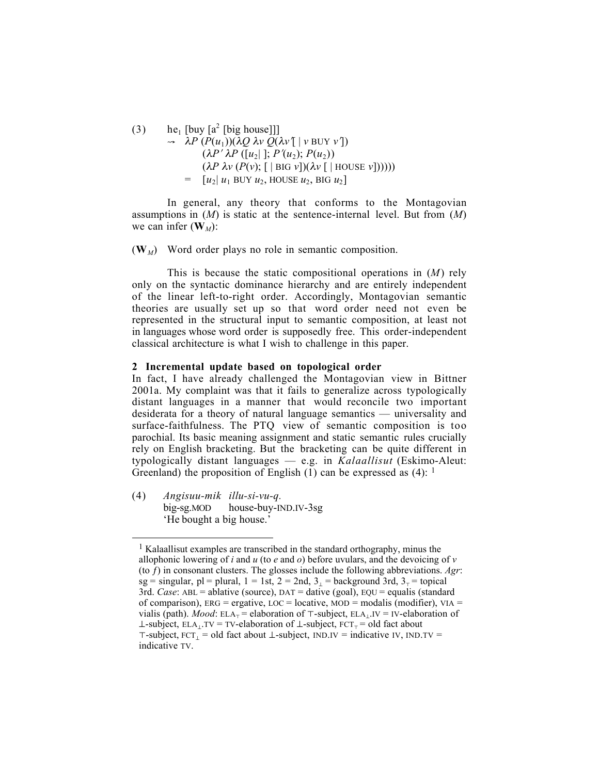(3) he<sub>1</sub> [buy [a<sup>2</sup> [big house]]]  $\rightarrow \lambda P(P(u_1))(\lambda Q \lambda V Q(\lambda V \mid V \text{ BUY } V))$  $(\lambda P' \lambda P ([u_2]]; P'(u_2); P(u_2))$  $(\lambda P \lambda v (P(v); [\|\text{BIG } v])(\lambda v [\|\text{HOUSE } v]))))$  $=$   $[u_2] u_1$  BUY  $u_2$ , HOUSE  $u_2$ , BIG  $u_2$ 

In general, any theory that conforms to the Montagovian assumptions in (*M*) is static at the sentence-internal level. But from (*M*) we can infer  $(\mathbf{W}_M)$ :

 $(W_M)$  Word order plays no role in semantic composition.

This is because the static compositional operations in (*M*) rely only on the syntactic dominance hierarchy and are entirely independent of the linear left-to-right order. Accordingly, Montagovian semantic theories are usually set up so that word order need not even be represented in the structural input to semantic composition, at least not in languages whose word order is supposedly free. This order-independent classical architecture is what I wish to challenge in this paper.

#### 2 Incremental update based on topological order

In fact, I have already challenged the Montagovian view in Bittner 2001a. My complaint was that it fails to generalize across typologically distant languages in a manner that would reconcile two important desiderata for a theory of natural language semantics — universality and surface-faithfulness. The PTQ view of semantic composition is too parochial. Its basic meaning assignment and static semantic rules crucially rely on English bracketing. But the bracketing can be quite different in typologically distant languages — e.g. in *Kalaallisut* (Eskimo-Aleut: Greenland) the proposition of English  $(1)$  can be expressed as  $(4)$ : <sup>1</sup>

(4) *Angisuu-mik illu-si-vu-q.* big-sg.MOD house-buy-IND.IV-3sg 'He bought a big house.'

 $\overline{a}$ 

<sup>&</sup>lt;sup>1</sup> Kalaallisut examples are transcribed in the standard orthography, minus the allophonic lowering of *i* and *u* (to *e* and *o*) before uvulars, and the devoicing of *v* (to ƒ) in consonant clusters. The glosses include the following abbreviations. *Agr*: sg = singular, pl = plural,  $1 = 1$ st,  $2 = 2$ nd,  $3<sub>1</sub> =$  background  $3$ rd,  $3<sub>1</sub> =$  topical 3rd. *Case*: ABL = ablative (source), DAT = dative (goal), EQU = equalis (standard of comparison),  $ERG = ergative$ ,  $LOC = locative$ ,  $MOD = modalis$  (modifier),  $VIA =$ vialis (path). *Mood*: ELA<sub>T</sub> = elaboration of  $\top$ -subject, ELA<sub>LI</sub>V = IV-elaboration of ⊥-subject, ELA<sub>⊥</sub>.TV = TV-elaboration of ⊥-subject, FCT<sub>T</sub> = old fact about  $\tau$ -subject,  $\text{FCT}_1 = \text{old}$  fact about  $\bot$ -subject, IND.IV = indicative IV, IND.TV = indicative TV.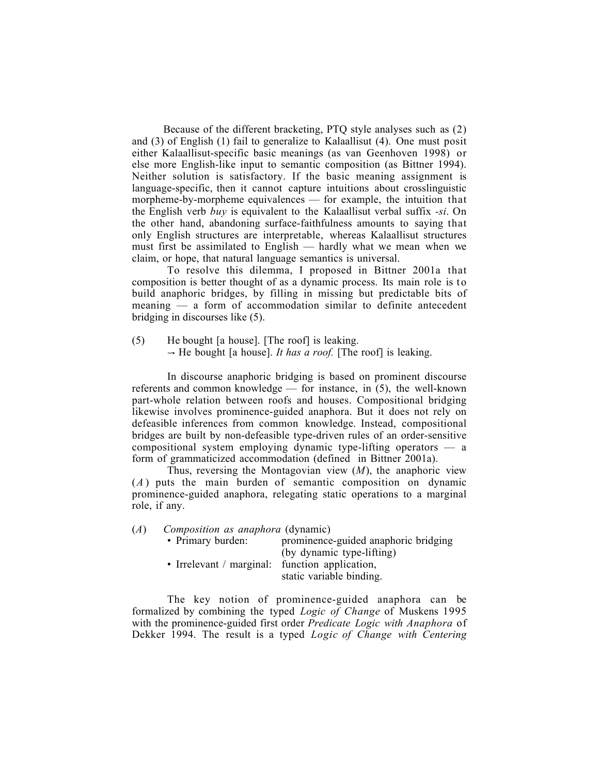Because of the different bracketing, PTQ style analyses such as (2) and (3) of English (1) fail to generalize to Kalaallisut (4). One must posit either Kalaallisut-specific basic meanings (as van Geenhoven 1998) or else more English-like input to semantic composition (as Bittner 1994). Neither solution is satisfactory. If the basic meaning assignment is language-specific, then it cannot capture intuitions about crosslinguistic morpheme-by-morpheme equivalences — for example, the intuition that the English verb *buy* is equivalent to the Kalaallisut verbal suffix *-si*. On the other hand, abandoning surface-faithfulness amounts to saying that only English structures are interpretable, whereas Kalaallisut structures must first be assimilated to English — hardly what we mean when we claim, or hope, that natural language semantics is universal.

To resolve this dilemma, I proposed in Bittner 2001a that composition is better thought of as a dynamic process. Its main role is to build anaphoric bridges, by filling in missing but predictable bits of meaning — a form of accommodation similar to definite antecedent bridging in discourses like (5).

(5) He bought [a house]. [The roof] is leaking.  $\rightarrow$  He bought [a house]. *It has a roof.* [The roof] is leaking.

In discourse anaphoric bridging is based on prominent discourse referents and common knowledge — for instance, in (5), the well-known part-whole relation between roofs and houses. Compositional bridging likewise involves prominence-guided anaphora. But it does not rely on defeasible inferences from common knowledge. Instead, compositional bridges are built by non-defeasible type-driven rules of an order-sensitive compositional system employing dynamic type-lifting operators — a form of grammaticized accommodation (defined in Bittner 2001a).

Thus, reversing the Montagovian view (*M*), the anaphoric view (*A* ) puts the main burden of semantic composition on dynamic prominence-guided anaphora, relegating static operations to a marginal role, if any.

(*A*) *Composition as anaphora* (dynamic)

| • Primary burden:                              | prominence-guided anaphoric bridging |
|------------------------------------------------|--------------------------------------|
|                                                | (by dynamic type-lifting)            |
| • Irrelevant / marginal: function application, |                                      |
|                                                | static variable binding.             |

The key notion of prominence-guided anaphora can be formalized by combining the typed *Logic of Change* of Muskens 1995 with the prominence-guided first order *Predicate Logic with Anaphora* of Dekker 1994. The result is a typed *Logic of Change with Centering*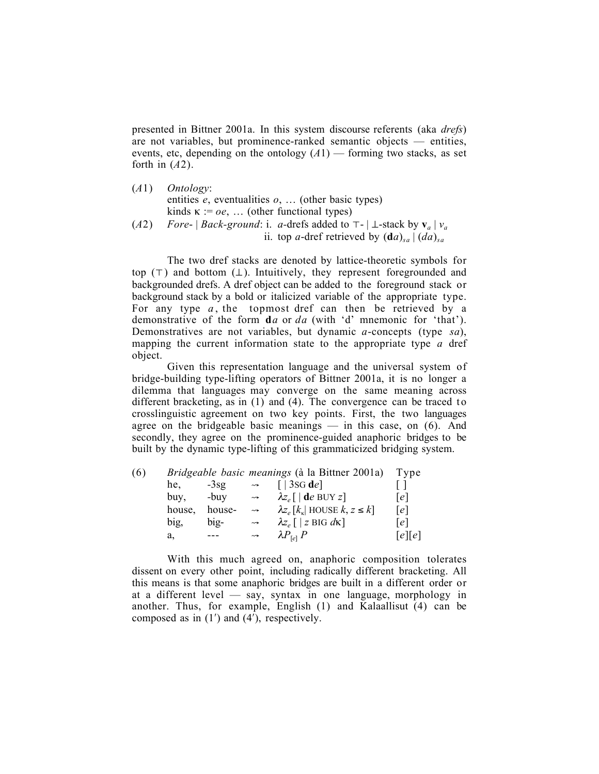presented in Bittner 2001a. In this system discourse referents (aka *drefs*) are not variables, but prominence-ranked semantic objects — entities, events, etc, depending on the ontology  $(A1)$  — forming two stacks, as set forth in (*A*2).

| (A1) | <i>Ontology</i> :                                                                                          |
|------|------------------------------------------------------------------------------------------------------------|
|      | entities $e$ , eventualities $o$ ,  (other basic types)                                                    |
|      | kinds $\kappa := oe$ ,  (other functional types)                                                           |
| (A2) | <i>Fore</i> -   <i>Back-ground</i> : i. <i>a</i> -drefs added to $\tau$ -   $\bot$ -stack by $v_a$   $v_a$ |
|      | ii. top <i>a</i> -dref retrieved by $(da)_{sa}$ $(da)_{sa}$                                                |

The two dref stacks are denoted by lattice-theoretic symbols for top  $(\top)$  and bottom  $(\bot)$ . Intuitively, they represent foregrounded and backgrounded drefs. A dref object can be added to the foreground stack or background stack by a bold or italicized variable of the appropriate type. For any type  $a$ , the topmost dref can then be retrieved by a demonstrative of the form d*a* or *da* (with 'd' mnemonic for 'that'). Demonstratives are not variables, but dynamic *a*-concepts (type *sa*), mapping the current information state to the appropriate type *a* dref object.

Given this representation language and the universal system of bridge-building type-lifting operators of Bittner 2001a, it is no longer a dilemma that languages may converge on the same meaning across different bracketing, as in  $(1)$  and  $(4)$ . The convergence can be traced to crosslinguistic agreement on two key points. First, the two languages agree on the bridgeable basic meanings  $-$  in this case, on  $(6)$ . And secondly, they agree on the prominence-guided anaphoric bridges to be built by the dynamic type-lifting of this grammaticized bridging system.

| (6) |        |        |               | Bridgeable basic meanings (à la Bittner 2001a)  | Tvpe   |
|-----|--------|--------|---------------|-------------------------------------------------|--------|
|     | he.    | $-3sg$ | $\rightarrow$ | $\lceil 3$ SG de                                |        |
|     | buy.   | -buv   | $\rightarrow$ | $\lambda z$ [   de BUY z]                       | e      |
|     | house, | house- | $\rightarrow$ | $\lambda z_e[k_{\kappa}]$ HOUSE $k, z \leq k$ ] | [e]    |
|     | big,   | big-   | $\rightarrow$ | $\lambda z$ , $\lceil z \rceil$ BIG dk          | le l   |
|     | a,     | ---    | $\rightarrow$ | $\lambda P_{\text{rel}} P$                      | [e][e] |

With this much agreed on, anaphoric composition tolerates dissent on every other point, including radically different bracketing. All this means is that some anaphoric bridges are built in a different order or at a different level — say, syntax in one language, morphology in another. Thus, for example, English (1) and Kalaallisut (4) can be composed as in  $(1')$  and  $(4')$ , respectively.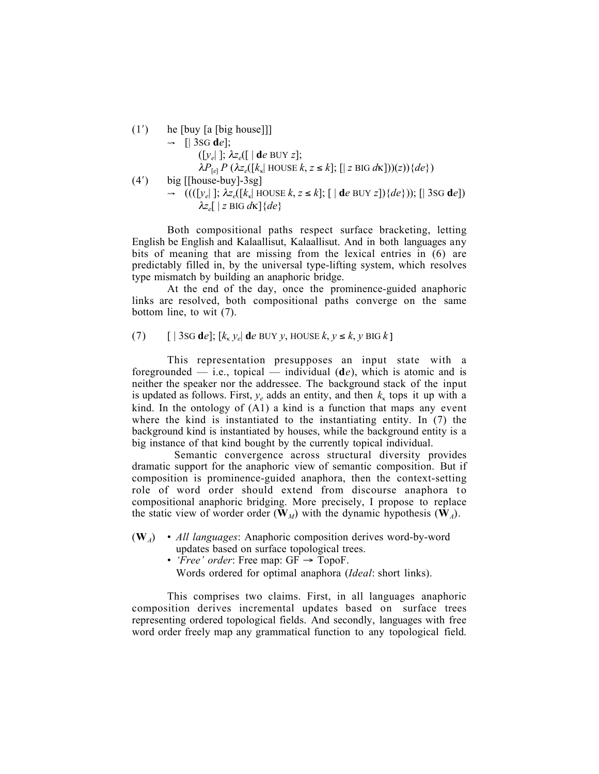(1′) he [buy [a [big house]]]  $\rightarrow$  [| 3SG d*e*]; ([*ye*| ]; λ*ze*([ | d*e* BUY *z*];  $\lambda P_{\text{rel}} P (\lambda z_e([k_{\kappa} \text{HOUSE } k, z \leq k]; [\text{Z BIG } d\kappa]))(z))\{de\})$ (4′) big [[house-buy]-3sg]  $\rightarrow$   $((([y_e]; \lambda z_e([k_{\kappa}]\text{ HOUSE }k, z \leq k]; [\text{d}e \text{ BUY }z])(de\})); [\text{3SG de}])$  $λz<sub>e</sub>[ | z \text{ BIG } d\kappa ] {de}$ 

Both compositional paths respect surface bracketing, letting English be English and Kalaallisut, Kalaallisut. And in both languages any bits of meaning that are missing from the lexical entries in (6) are predictably filled in, by the universal type-lifting system, which resolves type mismatch by building an anaphoric bridge.

At the end of the day, once the prominence-guided anaphoric links are resolved, both compositional paths converge on the same bottom line, to wit (7).

(7)  $\left[\right]$  3sG de];  $\left[k_k y_e\right]$  de BUY y, HOUSE  $k, y \le k, y$  BIG  $k$ ]

This representation presupposes an input state with a foregrounded — i.e., topical — individual (d*e*), which is atomic and is neither the speaker nor the addressee. The background stack of the input is updated as follows. First,  $y_e$  adds an entity, and then  $k_k$  tops it up with a kind. In the ontology of (A1) a kind is a function that maps any event where the kind is instantiated to the instantiating entity. In (7) the background kind is instantiated by houses, while the background entity is a big instance of that kind bought by the currently topical individual.

Semantic convergence across structural diversity provides dramatic support for the anaphoric view of semantic composition. But if composition is prominence-guided anaphora, then the context-setting role of word order should extend from discourse anaphora to compositional anaphoric bridging. More precisely, I propose to replace the static view of worder order ( $\mathbf{W}_M$ ) with the dynamic hypothesis ( $\mathbf{W}_A$ ).

- (W*A*) *All languages*: Anaphoric composition derives word-by-word updates based on surface topological trees.
	- *Free' order*: Free map:  $GF \rightarrow TopoF$ .

Words ordered for optimal anaphora (*Ideal*: short links).

This comprises two claims. First, in all languages anaphoric composition derives incremental updates based on surface trees representing ordered topological fields. And secondly, languages with free word order freely map any grammatical function to any topological field.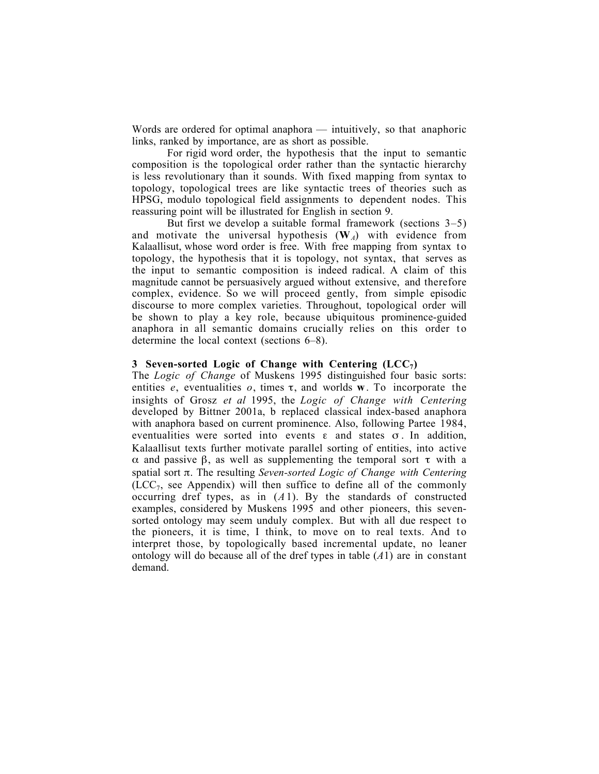Words are ordered for optimal anaphora — intuitively, so that anaphoric links, ranked by importance, are as short as possible.

For rigid word order, the hypothesis that the input to semantic composition is the topological order rather than the syntactic hierarchy is less revolutionary than it sounds. With fixed mapping from syntax to topology, topological trees are like syntactic trees of theories such as HPSG, modulo topological field assignments to dependent nodes. This reassuring point will be illustrated for English in section 9.

But first we develop a suitable formal framework (sections 3–5) and motivate the universal hypothesis  $(\mathbf{W}_A)$  with evidence from Kalaallisut, whose word order is free. With free mapping from syntax to topology, the hypothesis that it is topology, not syntax, that serves as the input to semantic composition is indeed radical. A claim of this magnitude cannot be persuasively argued without extensive, and therefore complex, evidence. So we will proceed gently, from simple episodic discourse to more complex varieties. Throughout, topological order will be shown to play a key role, because ubiquitous prominence-guided anaphora in all semantic domains crucially relies on this order to determine the local context (sections 6–8).

## 3 Seven-sorted Logic of Change with Centering  $(ICC<sub>7</sub>)$

The *Logic of Change* of Muskens 1995 distinguished four basic sorts: entities  $e$ , eventualities  $o$ , times  $\tau$ , and worlds **w**. To incorporate the insights of Grosz *et al* 1995, the *Logic of Change with Centering* developed by Bittner 2001a, b replaced classical index-based anaphora with anaphora based on current prominence. Also, following Partee 1984, eventualities were sorted into events  $\varepsilon$  and states  $\sigma$ . In addition, Kalaallisut texts further motivate parallel sorting of entities, into active α and passive β, as well as supplementing the temporal sort τ with a spatial sort π. The resulting *Seven-sorted Logic of Change with Centering*  $(ICC<sub>7</sub>, see Appendix) will then suffice to define all of the commonly$ occurring dref types, as in (*A*1). By the standards of constructed examples, considered by Muskens 1995 and other pioneers, this sevensorted ontology may seem unduly complex. But with all due respect to the pioneers, it is time, I think, to move on to real texts. And to interpret those, by topologically based incremental update, no leaner ontology will do because all of the dref types in table (*A*1) are in constant demand.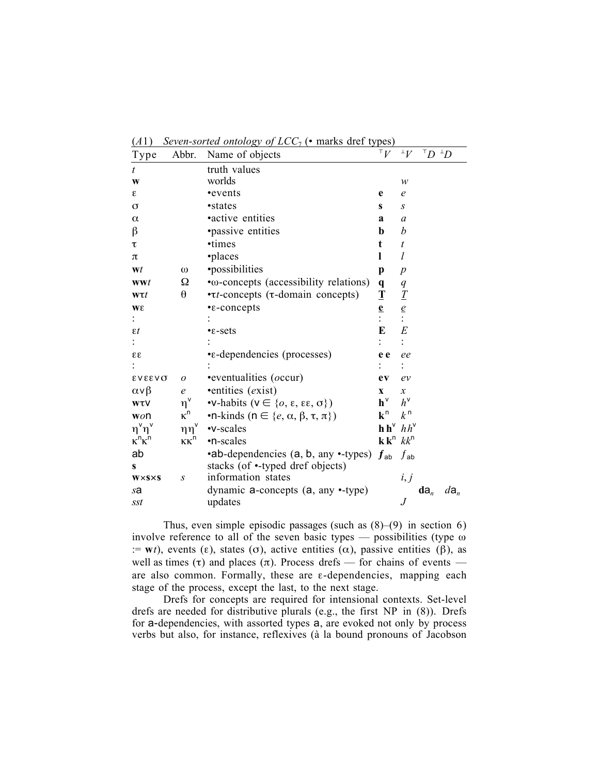| $\mathbf{r}$             |                       | seven sorrow onload by $\frac{1}{2}$ by $\frac{1}{2}$ by $\frac{1}{2}$ multiple |                                                        |                  |                             |                 |
|--------------------------|-----------------------|---------------------------------------------------------------------------------|--------------------------------------------------------|------------------|-----------------------------|-----------------|
| Type                     | Abbr.                 | Name of objects                                                                 | ${}^{\intercal}V$                                      | ${}^{\perp}V$    | $^{\intercal}D$ $^{\perp}D$ |                 |
| t                        |                       | truth values                                                                    |                                                        |                  |                             |                 |
| $\mathbf{W}$             |                       | worlds                                                                          |                                                        | $\mathcal W$     |                             |                 |
| ε                        |                       | •events                                                                         | e                                                      | $\mathfrak{e}$   |                             |                 |
| $\sigma$                 |                       | •states                                                                         | $\mathbf{s}$                                           | $\boldsymbol{S}$ |                             |                 |
| $\alpha$                 |                       | •active entities                                                                | a                                                      | $\boldsymbol{a}$ |                             |                 |
| $\beta$                  |                       | <i>•passive entities</i>                                                        | b                                                      | b                |                             |                 |
| τ                        |                       | •times                                                                          | t                                                      | $\boldsymbol{t}$ |                             |                 |
| $\pi$                    |                       | ·places                                                                         | L                                                      | $\iota$          |                             |                 |
| Wt                       | $\omega$              | •possibilities                                                                  | p                                                      | p                |                             |                 |
| <b>wwt</b>               | Ω                     | • $ω$ -concepts (accessibility relations)                                       | $\mathbf{q}$                                           | q                |                             |                 |
| $w\tau t$                | $\boldsymbol{\theta}$ | $\cdot \tau$ <i>t</i> -concepts ( $\tau$ -domain concepts)                      | $\mathbf T$                                            | $\mathcal{I}$    |                             |                 |
| Wε                       |                       | $\cdot$ e-concepts                                                              | $\frac{e}{i}$                                          | $\frac{e}{1}$    |                             |                 |
|                          |                       |                                                                                 |                                                        |                  |                             |                 |
| $\varepsilon t$          |                       | $\cdot$ $\varepsilon$ -sets                                                     | E                                                      | E                |                             |                 |
|                          |                       |                                                                                 |                                                        |                  |                             |                 |
| $\epsilon \epsilon$      |                       | •ε-dependencies (processes)                                                     | e e                                                    | ee               |                             |                 |
|                          |                       |                                                                                 |                                                        |                  |                             |                 |
| <b>EVEEVO</b>            | $\boldsymbol{o}$      | •eventualities ( <i>occur</i> )                                                 | ev                                                     | ev               |                             |                 |
| $\alpha \vee \beta$      | $\epsilon$            | ·entities (exist)                                                               | $\mathbf{x}$                                           | $\boldsymbol{x}$ |                             |                 |
| <b>WTV</b>               | $\eta^\text{v}$       | • <b>v</b> -habits ( $v \in \{o, \varepsilon, \varepsilon, \sigma\}$ )          | $\bm{h}^{\text{v}}$                                    | $h^{\vee}$       |                             |                 |
| won                      | $\kappa^n$            | •n-kinds ( $n \in \{e, \alpha, \beta, \tau, \pi\}$ )                            | $k^n$                                                  | k <sup>n</sup>   |                             |                 |
| $\eta^{\vee}\eta^{\vee}$ | $\eta\eta^\vee$       | •v-scales                                                                       | $h h^{\vee} hh^{\vee}$                                 |                  |                             |                 |
| $\kappa^n \kappa^n$      | $\kappa\kappa^n$      | •n-scales                                                                       | $\mathbf{k} \mathbf{k}^{\mathsf{n}}$ $kk^{\mathsf{n}}$ |                  |                             |                 |
| ab                       |                       | •ab-dependencies (a, b, any •-types)                                            | $\boldsymbol{f}$ <sub>ab</sub>                         | $f_{\sf ab}$     |                             |                 |
| $\mathbf{s}$             |                       | stacks (of •-typed dref objects)                                                |                                                        |                  |                             |                 |
| $W \times S \times S$    | $\boldsymbol{S}$      | information states                                                              |                                                        | i, j             |                             |                 |
| sa                       |                       | dynamic $a$ -concepts $(a, any -type)$                                          |                                                        |                  | $da_n$                      | $d\mathbf{a}_n$ |
| sst                      |                       | updates                                                                         |                                                        | $\boldsymbol{J}$ |                             |                 |

(*A*1) *Seven-sorted ontology of LCC*<sup>7</sup> (• marks dref types)

Thus, even simple episodic passages (such as  $(8)$ – $(9)$  in section 6) involve reference to all of the seven basic types — possibilities (type ω := wt), events (ε), states (σ), active entities ( $\alpha$ ), passive entities ( $\beta$ ), as well as times (τ) and places (π). Process drefs — for chains of events are also common. Formally, these are ε-dependencies, mapping each stage of the process, except the last, to the next stage.

Drefs for concepts are required for intensional contexts. Set-level drefs are needed for distributive plurals (e.g., the first NP in (8)). Drefs for a-dependencies, with assorted types a, are evoked not only by process verbs but also, for instance, reflexives (à la bound pronouns of Jacobson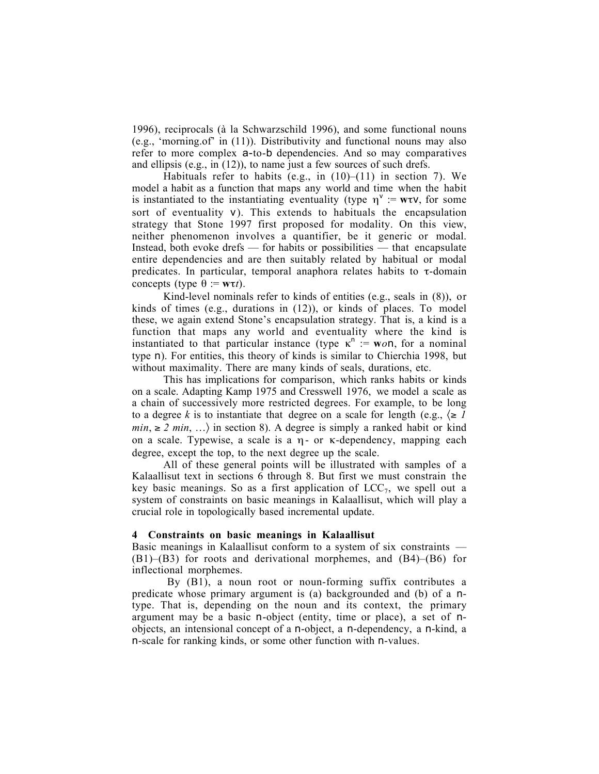1996), reciprocals (à la Schwarzschild 1996), and some functional nouns (e.g., 'morning.of' in (11)). Distributivity and functional nouns may also refer to more complex a-to-b dependencies. And so may comparatives and ellipsis (e.g., in (12)), to name just a few sources of such drefs.

Habituals refer to habits (e.g., in  $(10)$ – $(11)$  in section 7). We model a habit as a function that maps any world and time when the habit is instantiated to the instantiating eventuality (type  $\eta^v := w\tau v$ , for some sort of eventuality v). This extends to habituals the encapsulation strategy that Stone 1997 first proposed for modality. On this view, neither phenomenon involves a quantifier, be it generic or modal. Instead, both evoke drefs — for habits or possibilities — that encapsulate entire dependencies and are then suitably related by habitual or modal predicates. In particular, temporal anaphora relates habits to  $\tau$ -domain concepts (type  $\theta := w\tau t$ ).

Kind-level nominals refer to kinds of entities (e.g., seals in (8)), or kinds of times (e.g., durations in (12)), or kinds of places. To model these, we again extend Stone's encapsulation strategy. That is, a kind is a function that maps any world and eventuality where the kind is instantiated to that particular instance (type  $\kappa^n := \mathbf{w} \circ \mathbf{n}$ , for a nominal type n). For entities, this theory of kinds is similar to Chierchia 1998, but without maximality. There are many kinds of seals, durations, etc.

This has implications for comparison, which ranks habits or kinds on a scale. Adapting Kamp 1975 and Cresswell 1976, we model a scale as a chain of successively more restricted degrees. For example, to be long to a degree *k* is to instantiate that degree on a scale for length (e.g.,  $\leq I$ *min*,  $\geq 2$  *min*, ...) in section 8). A degree is simply a ranked habit or kind on a scale. Typewise, a scale is a η- or κ-dependency, mapping each degree, except the top, to the next degree up the scale.

All of these general points will be illustrated with samples of a Kalaallisut text in sections 6 through 8. But first we must constrain the key basic meanings. So as a first application of  $LCC<sub>7</sub>$ , we spell out a system of constraints on basic meanings in Kalaallisut, which will play a crucial role in topologically based incremental update.

#### 4 Constraints on basic meanings in Kalaallisut

Basic meanings in Kalaallisut conform to a system of six constraints — (B1)–(B3) for roots and derivational morphemes, and (B4)–(B6) for inflectional morphemes.

By (B1), a noun root or noun-forming suffix contributes a predicate whose primary argument is (a) backgrounded and (b) of a ntype. That is, depending on the noun and its context, the primary argument may be a basic n-object (entity, time or place), a set of nobjects, an intensional concept of a n-object, a n-dependency, a n-kind, a n-scale for ranking kinds, or some other function with n-values.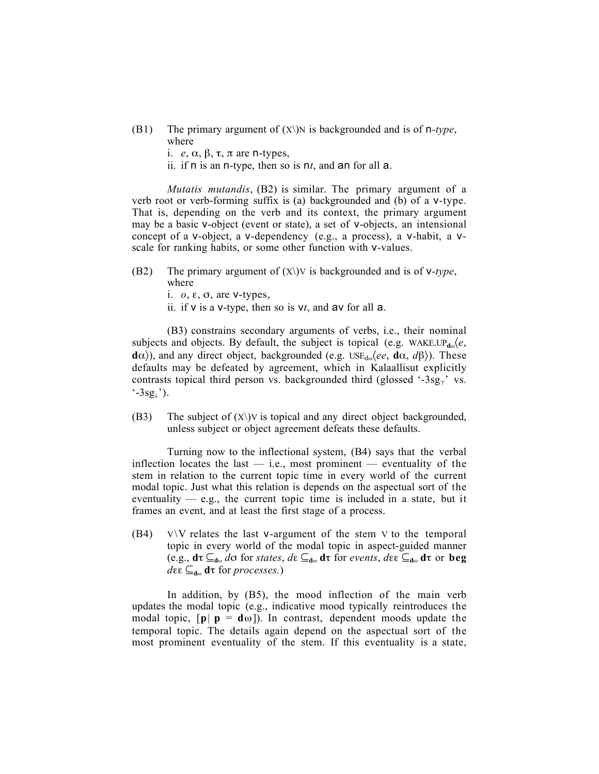- (B1) The primary argument of  $(X)$ )N is backgrounded and is of  $n$ -type, where
	- i. *e*, α, β, τ, π are n-types,
	- ii. if n is an n-type, then so is n*t*, and an for all a.

*Mutatis mutandis*, (B2) is similar. The primary argument of a verb root or verb-forming suffix is (a) backgrounded and (b) of a v-type. That is, depending on the verb and its context, the primary argument may be a basic v-object (event or state), a set of v-objects, an intensional concept of a v-object, a v-dependency (e.g., a process), a v-habit, a vscale for ranking habits, or some other function with v-values.

- (B2) The primary argument of (X\)V is backgrounded and is of v*-type*, where
	- i. *o*, ε, σ, are v-types,
	- ii. if  $v$  is a v-type, then so is  $vt$ , and  $av$  for all  $a$ .

(B3) constrains secondary arguments of verbs, i.e., their nominal subjects and objects. By default, the subject is topical (e.g. WAKE.UP<sub>dω</sub> $\langle e, \rangle$  $d\alpha$ ), and any direct object, backgrounded (e.g. USE<sub>dω</sub> $\langle ee, d\alpha, d\beta \rangle$ ). These defaults may be defeated by agreement, which in Kalaallisut explicitly contrasts topical third person vs. backgrounded third (glossed '-3sg<sub> $<sub>T</sub>$ </sub>' vs.</sub>  $-3sg_1$ ').

(B3) The subject of  $(X)$ ) is topical and any direct object backgrounded, unless subject or object agreement defeats these defaults.

Turning now to the inflectional system, (B4) says that the verbal inflection locates the last  $-$  i.e., most prominent  $-$  eventuality of the stem in relation to the current topic time in every world of the current modal topic. Just what this relation is depends on the aspectual sort of the eventuality  $-$  e.g., the current topic time is included in a state, but it frames an event, and at least the first stage of a process.

 $(B4)$  V $\vee$  relates the last v-argument of the stem V to the temporal topic in every world of the modal topic in aspect-guided manner (e.g., dτ ⊆<sup>d</sup><sup>ω</sup> *d*σ for *states*, *d*ε ⊆<sup>d</sup><sup>ω</sup> dτ for *events*, *d*εε ⊆<sup>d</sup><sup>ω</sup> dτ or beg  $d\epsilon \in \mathcal{L}_{d\omega}$  **d**τ for *processes*.)

In addition, by (B5), the mood inflection of the main verb updates the modal topic (e.g., indicative mood typically reintroduces the modal topic,  $[p \mid p = d\omega]$ ). In contrast, dependent moods update the temporal topic. The details again depend on the aspectual sort of the most prominent eventuality of the stem. If this eventuality is a state,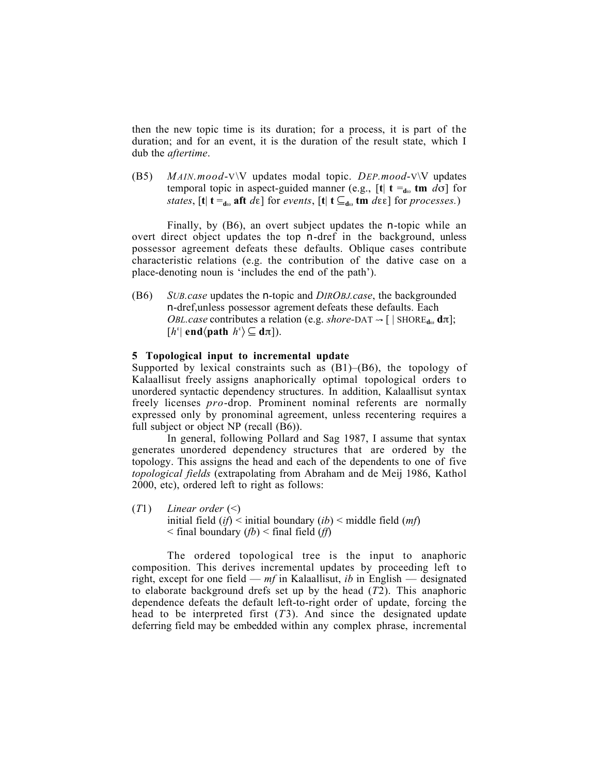then the new topic time is its duration; for a process, it is part of the duration; and for an event, it is the duration of the result state, which I dub the *aftertime*.

(B5) *MAIN.mood*-V\V updates modal topic. *DEP.mood*-V\V updates temporal topic in aspect-guided manner (e.g.,  $[t]$  t =<sub>dω</sub> tm *d* $\sigma$ ] for *states*,  $[t | t =_{d_{\omega}} \textbf{aft} \ d\varepsilon]$  for *events*,  $[t | t \subseteq_{d_{\omega}} \textbf{tm} \ d\varepsilon]$  for *processes.*)

Finally, by (B6), an overt subject updates the n-topic while an overt direct object updates the top n-dref in the background, unless possessor agreement defeats these defaults. Oblique cases contribute characteristic relations (e.g. the contribution of the dative case on a place-denoting noun is 'includes the end of the path').

(B6) *SUB.case* updates the n-topic and *DIROBJ.case*, the backgrounded n-dref,unless possessor agrement defeats these defaults. Each *OBL.case* contributes a relation (e.g. *shore*-DAT  $\rightarrow$  [ | SHORE<sub>dω</sub> d $\pi$ ];  $[h^{\epsilon}|$  end $\langle$ path  $h^{\epsilon}\rangle \subseteq d\pi]$ ).

### 5 Topological input to incremental update

Supported by lexical constraints such as  $(B1)$ – $(B6)$ , the topology of Kalaallisut freely assigns anaphorically optimal topological orders to unordered syntactic dependency structures. In addition, Kalaallisut syntax freely licenses *pro*-drop. Prominent nominal referents are normally expressed only by pronominal agreement, unless recentering requires a full subject or object NP (recall (B6)).

In general, following Pollard and Sag 1987, I assume that syntax generates unordered dependency structures that are ordered by the topology. This assigns the head and each of the dependents to one of five *topological fields* (extrapolating from Abraham and de Meij 1986, Kathol 2000, etc), ordered left to right as follows:

(*T*1) *Linear order* (<) initial field (*if*) < initial boundary (*ib*) < middle field (*mf*) < final boundary (*fb*) < final field (*ff*)

The ordered topological tree is the input to anaphoric composition. This derives incremental updates by proceeding left to right, except for one field — *mf* in Kalaallisut, *ib* in English — designated to elaborate background drefs set up by the head (*T*2). This anaphoric dependence defeats the default left-to-right order of update, forcing the head to be interpreted first (*T*3). And since the designated update deferring field may be embedded within any complex phrase, incremental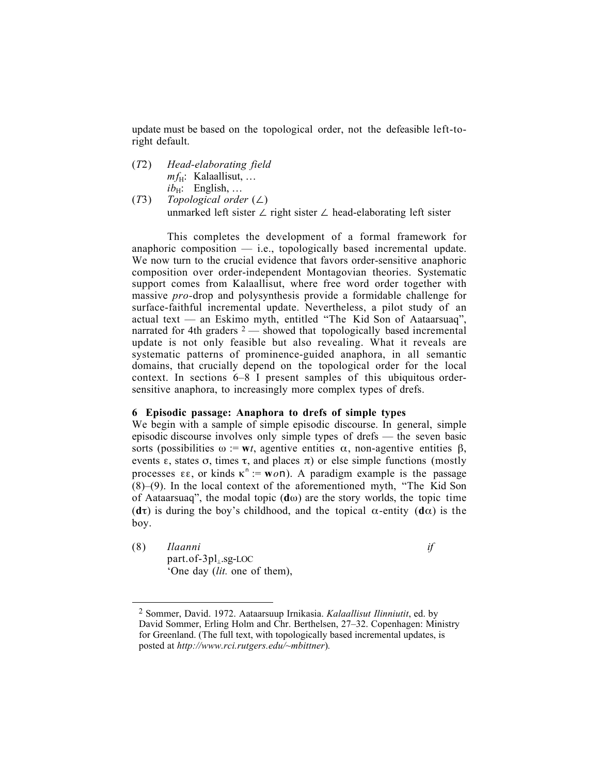update must be based on the topological order, not the defeasible left-toright default.

- (*T*2) *Head-elaborating field*  $mf_H$ : Kalaallisut, ...  $ib_H$ : English, ...
- (*T*3) *Topological order* (∠) unmarked left sister ∠ right sister ∠ head-elaborating left sister

This completes the development of a formal framework for anaphoric composition  $-$  i.e., topologically based incremental update. We now turn to the crucial evidence that favors order-sensitive anaphoric composition over order-independent Montagovian theories. Systematic support comes from Kalaallisut, where free word order together with massive *pro-*drop and polysynthesis provide a formidable challenge for surface-faithful incremental update. Nevertheless, a pilot study of an actual text — an Eskimo myth, entitled "The Kid Son of Aataarsuaq", narrated for 4th graders  $2$  — showed that topologically based incremental update is not only feasible but also revealing. What it reveals are systematic patterns of prominence-guided anaphora, in all semantic domains, that crucially depend on the topological order for the local context. In sections 6–8 I present samples of this ubiquitous ordersensitive anaphora, to increasingly more complex types of drefs.

#### 6 Episodic passage: Anaphora to drefs of simple types

We begin with a sample of simple episodic discourse. In general, simple episodic discourse involves only simple types of drefs — the seven basic sorts (possibilities  $ω := wt$ , agentive entities  $α$ , non-agentive entities  $β$ , events  $\varepsilon$ , states  $\sigma$ , times  $\tau$ , and places  $\pi$ ) or else simple functions (mostly processes  $\epsilon \epsilon$ , or kinds  $\kappa$ <sup>n</sup> := **w***o***n**). A paradigm example is the passage  $(8)$ – $(9)$ . In the local context of the aforementioned myth, "The Kid Son of Aataarsuaq", the modal topic  $(d\omega)$  are the story worlds, the topic time (d $\tau$ ) is during the boy's childhood, and the topical  $\alpha$ -entity (d $\alpha$ ) is the boy.

(8) *Ilaanni if*  part.of-3pl⊥.sg-LOC 'One day (*lit.* one of them),

 $\overline{a}$ 

<sup>2</sup> Sommer, David. 1972. Aataarsuup Irnikasia. *Kalaallisut Ilinniutit*, ed. by David Sommer, Erling Holm and Chr. Berthelsen, 27–32. Copenhagen: Ministry for Greenland. (The full text, with topologically based incremental updates, is posted at *http://www.rci.rutgers.edu/~mbittner*)*.*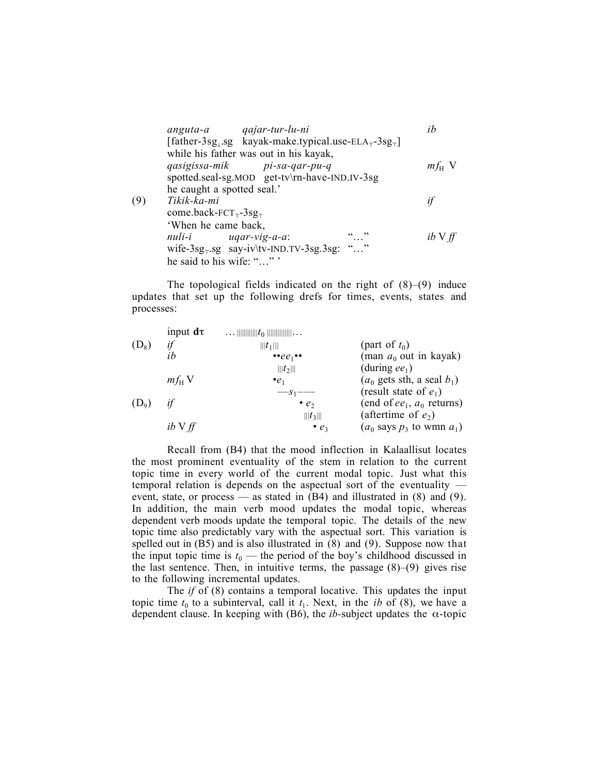|     | anguta-a qajar-tur-lu-ni                                                                 |  | ih              |
|-----|------------------------------------------------------------------------------------------|--|-----------------|
|     | [father-3sg, sg kayak-make.typical.use- $ELA_{\tau}$ -3sg <sub><math>\tau</math></sub> ] |  |                 |
|     | while his father was out in his kayak,<br>qasigissa-mik pi-sa-qar-pu-q                   |  | $m f_{\rm H}$ V |
|     | spotted.seal-sg.MOD get-tv\rn-have-IND.IV-3sg                                            |  |                 |
|     | he caught a spotted seal.'                                                               |  |                 |
| (9) | Tikik-ka-mi                                                                              |  | if              |
|     | come.back- $FCT_{\tau}$ -3sg <sub><math>\tau</math></sub>                                |  |                 |
|     | 'When he came back,                                                                      |  |                 |
|     | $null - i$ $uqar-vig-a-a$ :                                                              |  | $ib \vee ff$    |
|     | wife- $3sg$ <sub>T</sub> .sg say-iv\tv-IND.TV- $3sg$ 3sg: ""                             |  |                 |
|     | he said to his wife: ""                                                                  |  |                 |

The topological fields indicated on the right of  $(8)$ – $(9)$  induce updates that set up the following drefs for times, events, states and processes:

|         | input $d\tau$   | $t_0$                                  |                                  |
|---------|-----------------|----------------------------------------|----------------------------------|
| $(D_8)$ | if              | $   t_1   $                            | (part of $t_0$ )                 |
|         | ih              | $\bullet \bullet ee_1 \bullet \bullet$ | (man $a_0$ out in kayak)         |
|         |                 | $   t_2   $                            | (during $ee_1$ )                 |
|         | $m f_{\rm H}$ V | $\cdot e_1$                            | $(a_0$ gets sth, a seal $b_1$ )  |
|         |                 | $-s_1$ ---                             | (result state of $e_1$ )         |
| $(D_9)$ | if              | $\bullet$ $e_2$                        | (end of $ee_1$ , $a_0$ returns)  |
|         |                 | $   t_3   $                            | (aftertime of $e_2$ )            |
|         | $ib \vee ff$    | $\bullet$ $e_3$                        | $(a_0$ says $p_3$ to wmn $a_1$ ) |
|         |                 |                                        |                                  |

Recall from (B4) that the mood inflection in Kalaallisut locates the most prominent eventuality of the stem in relation to the current topic time in every world of the current modal topic. Just what this temporal relation is depends on the aspectual sort of the eventuality event, state, or process — as stated in (B4) and illustrated in (8) and (9). In addition, the main verb mood updates the modal topic, whereas dependent verb moods update the temporal topic. The details of the new topic time also predictably vary with the aspectual sort. This variation is spelled out in (B5) and is also illustrated in (8) and (9). Suppose now that the input topic time is  $t_0$  — the period of the boy's childhood discussed in the last sentence. Then, in intuitive terms, the passage  $(8)$ – $(9)$  gives rise to the following incremental updates.

The *if* of (8) contains a temporal locative. This updates the input topic time  $t_0$  to a subinterval, call it  $t_1$ . Next, in the *ib* of (8), we have a dependent clause. In keeping with (B6), the *ib*-subject updates the  $\alpha$ -topic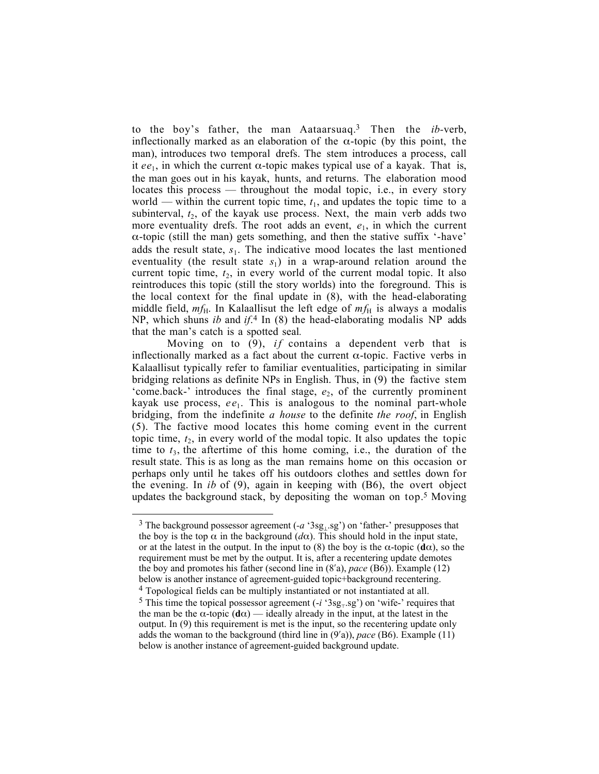to the boy's father, the man Aataarsuaq.3 Then the *ib-*verb, inflectionally marked as an elaboration of the  $\alpha$ -topic (by this point, the man), introduces two temporal drefs. The stem introduces a process, call it  $ee_1$ , in which the current  $\alpha$ -topic makes typical use of a kayak. That is, the man goes out in his kayak, hunts, and returns. The elaboration mood locates this process — throughout the modal topic, i.e., in every story world — within the current topic time,  $t_1$ , and updates the topic time to a subinterval,  $t_2$ , of the kayak use process. Next, the main verb adds two more eventuality drefs. The root adds an event,  $e_1$ , in which the current α-topic (still the man) gets something, and then the stative suffix '-have' adds the result state,  $s_1$ . The indicative mood locates the last mentioned eventuality (the result state  $s_1$ ) in a wrap-around relation around the current topic time,  $t_2$ , in every world of the current modal topic. It also reintroduces this topic (still the story worlds) into the foreground. This is the local context for the final update in (8), with the head-elaborating middle field,  $m f_H$ . In Kalaallisut the left edge of  $m f_H$  is always a modalis NP, which shuns *ib* and *if*. <sup>4</sup> In (8) the head-elaborating modalis NP adds that the man's catch is a spotted seal*.*

Moving on to  $(9)$ , *if* contains a dependent verb that is inflectionally marked as a fact about the current  $\alpha$ -topic. Factive verbs in Kalaallisut typically refer to familiar eventualities, participating in similar bridging relations as definite NPs in English. Thus, in (9) the factive stem 'come.back-' introduces the final stage,  $e_2$ , of the currently prominent kayak use process, *ee*1. This is analogous to the nominal part-whole bridging, from the indefinite *a house* to the definite *the roof*, in English (5). The factive mood locates this home coming event in the current topic time,  $t_2$ , in every world of the modal topic. It also updates the topic time to  $t_3$ , the aftertime of this home coming, i.e., the duration of the result state. This is as long as the man remains home on this occasion or perhaps only until he takes off his outdoors clothes and settles down for the evening. In *ib* of (9), again in keeping with (B6), the overt object updates the background stack, by depositing the woman on top.<sup>5</sup> Moving

 $\overline{a}$ 

<sup>3</sup> The background possessor agreement (*-a* '3sg⊥.sg') on 'father-' presupposes that the boy is the top  $\alpha$  in the background ( $d\alpha$ ). This should hold in the input state, or at the latest in the output. In the input to (8) the boy is the  $\alpha$ -topic (d $\alpha$ ), so the requirement must be met by the output. It is, after a recentering update demotes the boy and promotes his father (second line in (8′a), *pace* (B6)). Example (12) below is another instance of agreement-guided topic+background recentering. 4 Topological fields can be multiply instantiated or not instantiated at all.  $5$  This time the topical possessor agreement ( $-i$  '3sg<sub> $\tau$ </sub>.sg') on 'wife-' requires that the man be the  $\alpha$ -topic (d $\alpha$ ) — ideally already in the input, at the latest in the output. In (9) this requirement is met is the input, so the recentering update only adds the woman to the background (third line in (9′a)), *pace* (B6). Example (11) below is another instance of agreement-guided background update.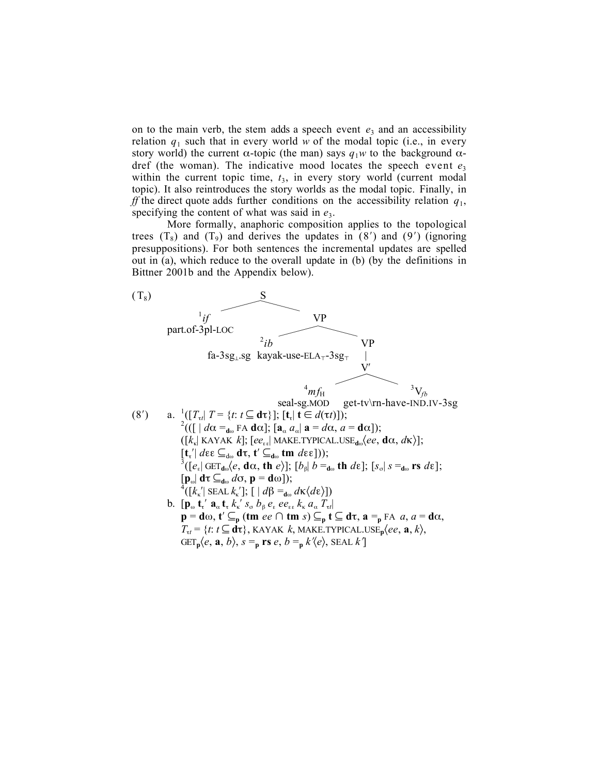on to the main verb, the stem adds a speech event  $e_3$  and an accessibility relation  $q_1$  such that in every world *w* of the modal topic (i.e., in every story world) the current  $\alpha$ -topic (the man) says  $q_1w$  to the background  $\alpha$ dref (the woman). The indicative mood locates the speech event  $e_3$ within the current topic time,  $t_3$ , in every story world (current modal topic). It also reintroduces the story worlds as the modal topic. Finally, in *ff* the direct quote adds further conditions on the accessibility relation *q*1, specifying the content of what was said in  $e_3$ .

More formally, anaphoric composition applies to the topological trees  $(T_8)$  and  $(T_9)$  and derives the updates in  $(8')$  and  $(9')$  (ignoring presuppositions). For both sentences the incremental updates are spelled out in (a), which reduce to the overall update in (b) (by the definitions in Bittner 2001b and the Appendix below).

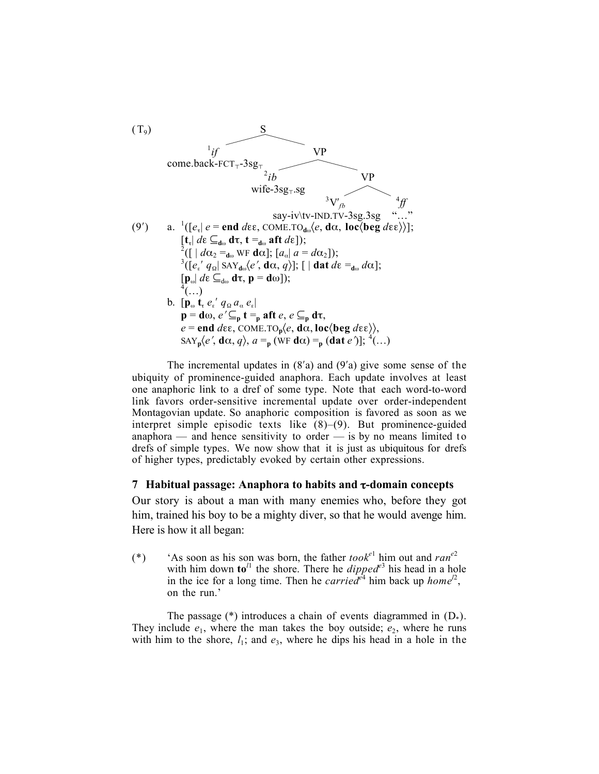

The incremental updates in  $(8'a)$  and  $(9'a)$  give some sense of the ubiquity of prominence-guided anaphora. Each update involves at least one anaphoric link to a dref of some type. Note that each word-to-word link favors order-sensitive incremental update over order-independent Montagovian update. So anaphoric composition is favored as soon as we interpret simple episodic texts like (8)–(9). But prominence-guided anaphora — and hence sensitivity to order — is by no means limited to drefs of simple types. We now show that it is just as ubiquitous for drefs of higher types, predictably evoked by certain other expressions.

## 7 Habitual passage: Anaphora to habits and τ-domain concepts

Our story is about a man with many enemies who, before they got him, trained his boy to be a mighty diver, so that he would avenge him. Here is how it all began:

(\*) 'As soon as his son was born, the father  $took^{e1}$  him out and  $ran^{e2}$ with him down to<sup> $l_1$ </sup> the shore. There he *dipped*<sup>e3</sup> his head in a hole in the ice for a long time. Then he *carried*<sup> $e^4$ </sup> him back up *home*<sup>12</sup>, on the run.'

The passage  $(*)$  introduces a chain of events diagrammed in  $(D_*)$ . They include  $e_1$ , where the man takes the boy outside;  $e_2$ , where he runs with him to the shore,  $l_1$ ; and  $e_3$ , where he dips his head in a hole in the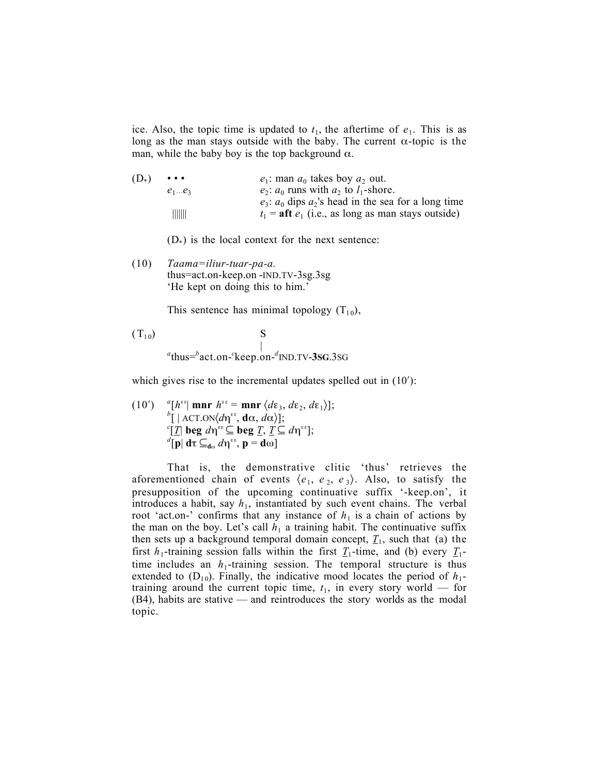ice. Also, the topic time is updated to  $t_1$ , the aftertime of  $e_1$ . This is as long as the man stays outside with the baby. The current  $\alpha$ -topic is the man, while the baby boy is the top background  $\alpha$ .

| $e_1$ : man $a_0$ takes boy $a_2$ out.                        |
|---------------------------------------------------------------|
| $e_2$ : $a_0$ runs with $a_2$ to $l_1$ -shore.                |
| $e_3$ : $a_0$ dips $a_2$ 's head in the sea for a long time   |
| $t_1$ = <b>aft</b> $e_1$ (i.e., as long as man stays outside) |
|                                                               |

 $(D_*)$  is the local context for the next sentence:

(10) *Taama=iliur-tuar-pa-a.* thus=act.on-keep.on -IND.TV-3sg.3sg 'He kept on doing this to him.'

This sentence has minimal topology  $(T_{10})$ ,

 $(T_{10})$  S <sup>|</sup> *<sup>a</sup>* thus=*<sup>b</sup>* act.on-*<sup>c</sup>* keep.on-*<sup>d</sup>* IND.TV-3SG.3SG

which gives rise to the incremental updates spelled out in  $(10')$ :

(10') 
$$
{}^{a}[h^{i\epsilon}]\text{ mm }h^{i\epsilon} = \text{ mm } \langle d\varepsilon_3, d\varepsilon_2, d\varepsilon_1 \rangle];
$$

$$
{}^{b}[\;|\text{ ACT.ON}\langle d\eta^{i\epsilon}, \text{d}\alpha, d\alpha \rangle];
$$

$$
{}^{c}[\underline{T}]\text{ beg }d\eta^{i\epsilon} \subseteq \text{beg } \underline{T}, \underline{T} \subseteq d\eta^{i\epsilon}];
$$

$$
{}^{d}[\textbf{p}]\text{ d}\tau \subseteq_{d\omega} d\eta^{i\epsilon}, \textbf{p} = \textbf{d}\omega]
$$

That is, the demonstrative clitic 'thus' retrieves the aforementioned chain of events  $\langle e_1, e_2, e_3 \rangle$ . Also, to satisfy the presupposition of the upcoming continuative suffix '-keep.on', it introduces a habit, say  $h_1$ , instantiated by such event chains. The verbal root 'act.on-' confirms that any instance of  $h_1$  is a chain of actions by the man on the boy. Let's call  $h_1$  a training habit. The continuative suffix then sets up a background temporal domain concept,  $T_1$ , such that (a) the first  $h_1$ -training session falls within the first  $\mathcal{I}_1$ -time, and (b) every  $\mathcal{I}_1$ time includes an  $h_1$ -training session. The temporal structure is thus extended to  $(D_{10})$ . Finally, the indicative mood locates the period of  $h_1$ training around the current topic time,  $t_1$ , in every story world — for (B4), habits are stative — and reintroduces the story worlds as the modal topic.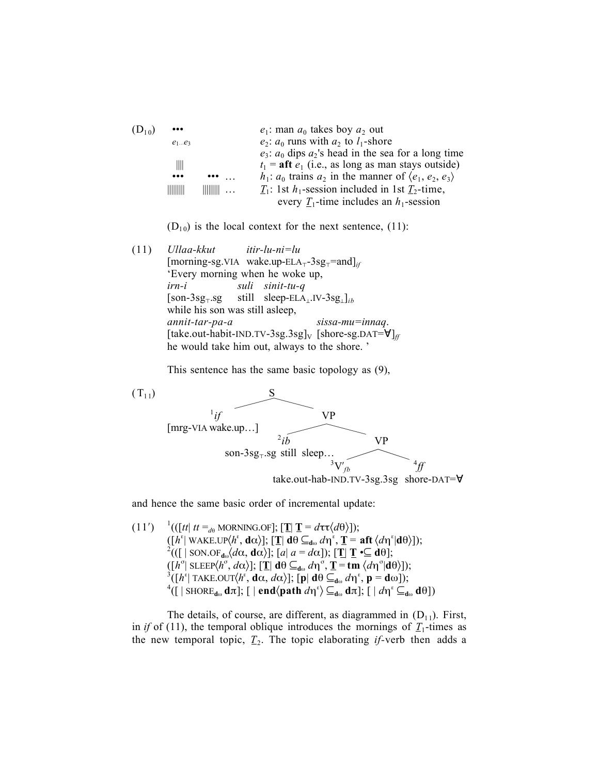| $\bullet\bullet\bullet$ |                | $e_1$ : man $a_0$ takes boy $a_2$ out                                       |
|-------------------------|----------------|-----------------------------------------------------------------------------|
| $e_1e_3$                |                | $e_2$ : $a_0$ runs with $a_2$ to $l_1$ -shore                               |
|                         |                | $e_3$ : $a_0$ dips $a_2$ 's head in the sea for a long time                 |
| Ⅲ                       |                | $t_1$ = <b>aft</b> $e_1$ (i.e., as long as man stays outside)               |
| $\bullet\bullet\bullet$ |                | $h_1$ : $a_0$ trains $a_2$ in the manner of $\langle e_1, e_2, e_3 \rangle$ |
|                         | $\  \ \  \ \ $ | $T_1$ : 1st $h_1$ -session included in 1st $T_2$ -time,                     |
|                         |                | every $\underline{T}_1$ -time includes an $h_1$ -session                    |
|                         |                |                                                                             |

 $(D_{10})$  is the local context for the next sentence, (11):

(11) *Ullaa-kkut itir-lu-ni=lu* [morning-sg.VIA wake.up-ELA<sub>T</sub>-3sg<sub>T</sub>=and]<sub>*if*</sub> 'Every morning when he woke up, *irn-i suli sinit-tu-q* [son-3sg®.sg still sleep-ELA⊥.IV-3sg⊥]*ib* while his son was still asleep, *annit-tar-pa-a sissa-mu=innaq*.  $[take.out-habit-IND.TV-3sg.3sg]_{V}$  [shore-sg.DAT= $\forall$ ]<sub>*ff*</sub> he would take him out, always to the shore. '

This sentence has the same basic topology as (9),



and hence the same basic order of incremental update:

 $(11')$  $\int_{0}^{1}((\left[tt\right] t t =_{d\theta} \text{MORNING.OF}); \left[\mathbf{T}\right] \mathbf{T} = d\tau \tau \langle d\theta \rangle).$  $([h^{\epsilon} | \text{ WAKE.LP}\langle h^{\epsilon}, \mathbf{d}\alpha \rangle]; [\mathbf{I} | \mathbf{d}\theta \subseteq_{\mathbf{d}\omega} d\eta^{\epsilon}, \mathbf{I} = \mathbf{aft} \langle d\eta^{\epsilon} | \mathbf{d}\theta \rangle]);$  $2^2((\left[\right]$  SON.OF<sub>dω</sub> $\langle d\alpha, \mathbf{d}\alpha \rangle]$ ;  $[a| \ a = d\alpha])$ ;  $[\mathbf{T}] \ \mathbf{T} \ \mathbf{C} \ \mathbf{d}\theta]$ ;  $\left\{ \begin{array}{l} \left( [h^{\sigma}] \text{ SLEE}\{h^{\sigma}, d\alpha \} \right]; \left[ \mathbf{T} \right] \mathbf{d}\theta \subseteq_{\mathbf{d}\omega} d\eta^{\sigma}, \mathbf{T} = \mathbf{tm} \langle d\eta^{\sigma} | \mathbf{d}\theta \rangle \right]; \ \left\{ \begin{array}{l} \left[ h^{\varepsilon} \right] \text{TAKE.OUT}\{h^{\varepsilon}, \mathbf{d}\alpha, d\alpha \} \end{array}; \left[ \mathbf{p} \right] \mathbf{d}\theta \subseteq_{\mathbf{d}\omega} d\eta^{\varepsilon}, \mathbf{p} = \mathbf{$  $([ \ |\ \text{SHORE}_{\text{do}} \, \text{d} \pi ]$ ; [ | **end** $\langle$ path *d*η<sup>ε</sup>) ⊆<sub>dω</sub> dπ]; [ | *d*η<sup>ε</sup> ⊆<sub>dω</sub> dθ])

The details, of course, are different, as diagrammed in  $(D_{11})$ . First, in *if* of (11), the temporal oblique introduces the mornings of  $T_1$ -times as the new temporal topic,  $T_2$ . The topic elaborating *if*-verb then adds a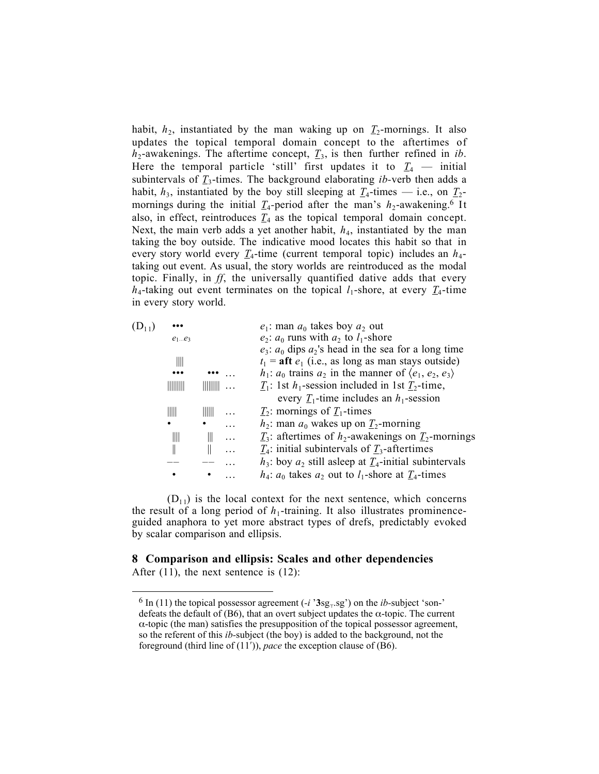habit,  $h_2$ , instantiated by the man waking up on  $\underline{T}_2$ -mornings. It also updates the topical temporal domain concept to the aftertimes of  $h_2$ -awakenings. The aftertime concept,  $T_3$ , is then further refined in *ib*. Here the temporal particle 'still' first updates it to  $I_4$  — initial subintervals of  $\underline{T}_3$ -times. The background elaborating *ib*-verb then adds a habit,  $h_3$ , instantiated by the boy still sleeping at  $\mathcal{I}_4$ -times — i.e., on  $\mathcal{I}_2$ mornings during the initial  $T_4$ -period after the man's  $h_2$ -awakening.<sup>6</sup> It also, in effect, reintroduces  $T_4$  as the topical temporal domain concept. Next, the main verb adds a yet another habit,  $h_4$ , instantiated by the man taking the boy outside. The indicative mood locates this habit so that in every story world every  $T_4$ -time (current temporal topic) includes an  $h_4$ taking out event. As usual, the story worlds are reintroduced as the modal topic. Finally, in *ff*, the universally quantified dative adds that every  $h_4$ -taking out event terminates on the topical  $l_1$ -shore, at every  $\mathcal{I}_4$ -time in every story world.

| $(D_{11})$ |          |  | $e_1$ : man $a_0$ takes boy $a_2$ out                                           |
|------------|----------|--|---------------------------------------------------------------------------------|
|            | $e_1e_3$ |  | $e_2$ : $a_0$ runs with $a_2$ to $l_1$ -shore                                   |
|            |          |  | $e_3$ : $a_0$ dips $a_2$ 's head in the sea for a long time                     |
|            | Ⅲ        |  | $t_1$ = aft $e_1$ (i.e., as long as man stays outside)                          |
|            |          |  | $h_1$ : $a_0$ trains $a_2$ in the manner of $\langle e_1, e_2, e_3 \rangle$     |
|            | IIIIIIII |  | $\underline{T}_1$ : 1st $h_1$ -session included in 1st $\underline{T}_2$ -time, |
|            |          |  | every $T_1$ -time includes an $h_1$ -session                                    |
|            | IIII     |  | $T_2$ : mornings of $T_1$ -times                                                |
|            | ٠        |  | $h_2$ : man $a_0$ wakes up on $T_2$ -morning                                    |
|            | Ⅲ        |  | $T_3$ : aftertimes of $h_2$ -awakenings on $T_2$ -mornings                      |
|            |          |  | $T_4$ : initial subintervals of $T_3$ -aftertimes                               |
|            |          |  | $h_3$ : boy $a_2$ still asleep at $T_4$ -initial subintervals                   |
|            |          |  | $h_4$ : $a_0$ takes $a_2$ out to $l_1$ -shore at $T_4$ -times                   |
|            |          |  |                                                                                 |

 $(D_{11})$  is the local context for the next sentence, which concerns the result of a long period of  $h_1$ -training. It also illustrates prominenceguided anaphora to yet more abstract types of drefs, predictably evoked by scalar comparison and ellipsis.

# 8 Comparison and ellipsis: Scales and other dependencies

After (11), the next sentence is (12):

 $\overline{a}$ 

 $6 \text{ In (11)}$  the topical possessor agreement ( $-i$  ' $3\text{sg}_{+}$  sg') on the *ib*-subject 'son-' defeats the default of (B6), that an overt subject updates the  $\alpha$ -topic. The current  $\alpha$ -topic (the man) satisfies the presupposition of the topical possessor agreement, so the referent of this *ib-*subject (the boy) is added to the background, not the foreground (third line of (11′)), *pace* the exception clause of (B6).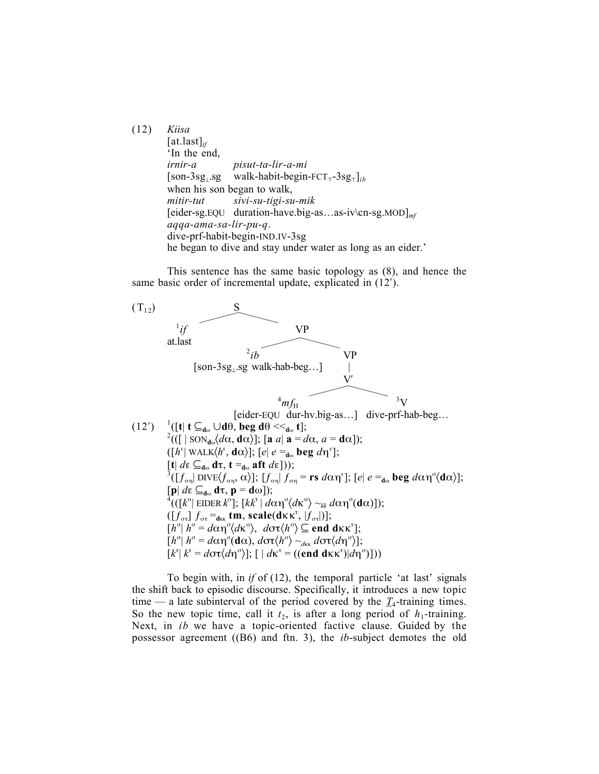(12) *Kiisa* [at.last]*if* 'In the end, *irnir-a pisut-ta-lir-a-mi* [son-3sg⊥.sg walk-habit-begin-FCT®-3sg®]*ib* when his son began to walk, *mitir-tut sivi-su-tigi-su-mik* [eider-sg.EQU duration-have.big-as…as-iv\cn-sg.MOD]*mf aqqa-ama-sa-lir-pu-q*. dive-prf-habit-begin-IND.IV-3sg he began to dive and stay under water as long as an eider.'

This sentence has the same basic topology as (8), and hence the same basic order of incremental update, explicated in (12′).



To begin with, in *if* of (12), the temporal particle 'at last' signals the shift back to episodic discourse. Specifically, it introduces a new topic time — a late subinterval of the period covered by the  $T_4$ -training times. So the new topic time, call it  $t_2$ , is after a long period of  $h_1$ -training. Next, in *ib* we have a topic-oriented factive clause. Guided by the possessor agreement ((B6) and ftn. 3), the *ib*-subject demotes the old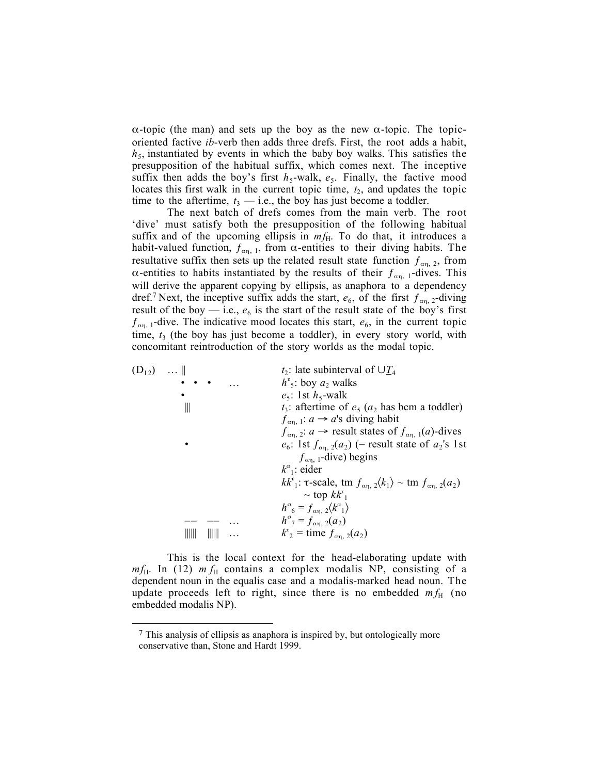α-topic (the man) and sets up the boy as the new α-topic. The topicoriented factive *ib*-verb then adds three drefs. First, the root adds a habit,  $h<sub>5</sub>$ , instantiated by events in which the baby boy walks. This satisfies the presupposition of the habitual suffix, which comes next. The inceptive suffix then adds the boy's first  $h_5$ -walk,  $e_5$ . Finally, the factive mood locates this first walk in the current topic time,  $t_2$ , and updates the topic time to the aftertime,  $t_3$  — i.e., the boy has just become a toddler.

The next batch of drefs comes from the main verb. The root 'dive' must satisfy both the presupposition of the following habitual suffix and of the upcoming ellipsis in  $mf_{H}$ . To do that, it introduces a habit-valued function,  $f_{\alpha n, 1}$ , from  $\alpha$ -entities to their diving habits. The resultative suffix then sets up the related result state function  $f_{\alpha\eta, 2}$ , from α-entities to habits instantiated by the results of their  $f_{\alpha\eta}$ , 1-dives. This will derive the apparent copying by ellipsis, as anaphora to a dependency dref.<sup>7</sup> Next, the inceptive suffix adds the start,  $e_6$ , of the first  $f_{\alpha n}$  <sub>2</sub>-diving result of the boy  $-$  i.e.,  $e_6$  is the start of the result state of the boy's first  $f_{\alpha n}$ , 1-dive. The indicative mood locates this start,  $e_6$ , in the current topic time,  $t_3$  (the boy has just become a toddler), in every story world, with concomitant reintroduction of the story worlds as the modal topic.

| $(D_{12}) \dots   $ |   |  | $t_2$ : late subinterval of $\cup T_4$                                                                                |
|---------------------|---|--|-----------------------------------------------------------------------------------------------------------------------|
|                     |   |  | $h^{\epsilon}$ <sub>5</sub> : boy $a_2$ walks                                                                         |
|                     |   |  | $e_5$ : 1st $h_5$ -walk                                                                                               |
|                     | Ш |  | $t_3$ : aftertime of $e_5$ ( $a_2$ has bcm a toddler)                                                                 |
|                     |   |  | $f_{\alpha n, 1}: a \rightarrow a$ 's diving habit                                                                    |
|                     |   |  | $f_{\alpha n}$ 2: $a \rightarrow$ result states of $f_{\alpha n}$ (a)-dives                                           |
|                     |   |  | $e_6$ : 1st $f_{\alpha_1, 2}(a_2)$ (= result state of $a_2$ 's 1st                                                    |
|                     |   |  | $f_{\alpha n, 1}$ -dive) begins                                                                                       |
|                     |   |  | $k^{\alpha}$ : eider                                                                                                  |
|                     |   |  | $kk^{\tau}$ : $\tau$ -scale, tm $f_{\alpha n}$ , $\langle k_1 \rangle \sim$ tm $f_{\alpha n}$ , $\langle k_2 \rangle$ |
|                     |   |  | $\sim$ top $kk^{t}$                                                                                                   |
|                     |   |  | $h^{\sigma}_{6} = f_{\alpha n}^{2} \langle k^{\alpha}^{1} \rangle$                                                    |
|                     |   |  | $h^{\circ}$ <sub>7</sub> = $f_{\alpha n}$ , 2( $a_2$ )                                                                |
|                     |   |  | $k_2^{\tau}$ = time $f_{\alpha_1, 2}(a_2)$                                                                            |
|                     |   |  |                                                                                                                       |

This is the local context for the head-elaborating update with  $mf_H$ . In (12)  $mf_H$  contains a complex modalis NP, consisting of a dependent noun in the equalis case and a modalis-marked head noun. The update proceeds left to right, since there is no embedded  $m f_H$  (no embedded modalis NP).

 $\overline{a}$ 

 $<sup>7</sup>$  This analysis of ellipsis as anaphora is inspired by, but ontologically more</sup> conservative than, Stone and Hardt 1999.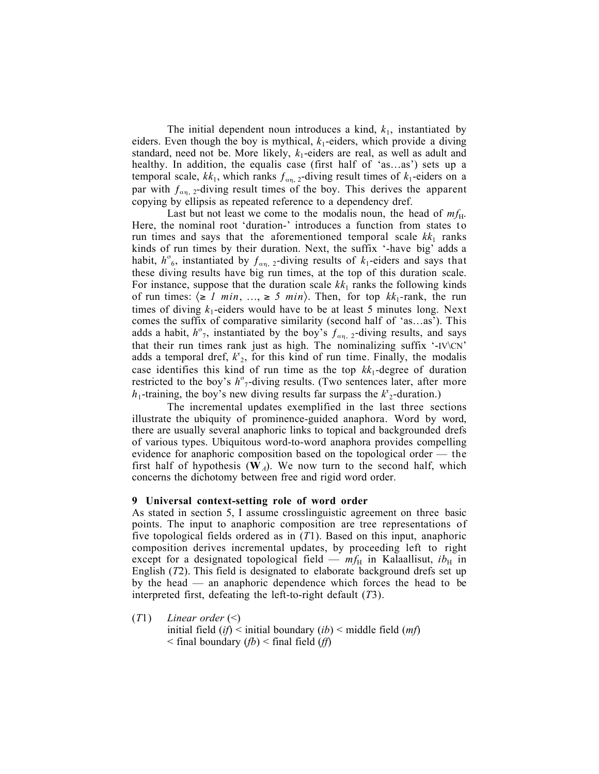The initial dependent noun introduces a kind,  $k_1$ , instantiated by eiders. Even though the boy is mythical,  $k_1$ -eiders, which provide a diving standard, need not be. More likely,  $k_1$ -eiders are real, as well as adult and healthy. In addition, the equalis case (first half of 'as…as') sets up a temporal scale,  $kk_1$ , which ranks  $f_{\alpha n}$ , 2-diving result times of  $k_1$ -eiders on a par with  $f_{\alpha n}$ , 2-diving result times of the boy. This derives the apparent copying by ellipsis as repeated reference to a dependency dref.

Last but not least we come to the modalis noun, the head of  $mf_H$ . Here, the nominal root 'duration-' introduces a function from states to run times and says that the aforementioned temporal scale  $kk_1$  ranks kinds of run times by their duration. Next, the suffix '-have big' adds a habit,  $h^{\sigma}$ <sub>6</sub>, instantiated by  $f_{\alpha\eta}$ , 2-diving results of  $k_1$ -eiders and says that these diving results have big run times, at the top of this duration scale. For instance, suppose that the duration scale  $kk_1$  ranks the following kinds of run times:  $\langle \ge 1 \text{ min}, \dots, \ge 5 \text{ min} \rangle$ . Then, for top  $kk_1$ -rank, the run times of diving  $k_1$ -eiders would have to be at least 5 minutes long. Next comes the suffix of comparative similarity (second half of 'as…as'). This adds a habit,  $h^{\sigma}$ <sub>7</sub>, instantiated by the boy's  $f_{\alpha\eta}$ , 2-diving results, and says that their run times rank just as high. The nominalizing suffix '-IV\CN' adds a temporal dref,  $k_z^2$ , for this kind of run time. Finally, the modalis case identifies this kind of run time as the top  $kk_1$ -degree of duration restricted to the boy's  $h^{\sigma}$ -diving results. (Two sentences later, after more *h*<sub>1</sub>-training, the boy's new diving results far surpass the  $k_z^2$ -duration.)

The incremental updates exemplified in the last three sections illustrate the ubiquity of prominence-guided anaphora. Word by word, there are usually several anaphoric links to topical and backgrounded drefs of various types. Ubiquitous word-to-word anaphora provides compelling evidence for anaphoric composition based on the topological order — the first half of hypothesis  $(\mathbf{W}_A)$ . We now turn to the second half, which concerns the dichotomy between free and rigid word order.

#### 9 Universal context-setting role of word order

As stated in section 5, I assume crosslinguistic agreement on three basic points. The input to anaphoric composition are tree representations of five topological fields ordered as in (*T*1). Based on this input, anaphoric composition derives incremental updates, by proceeding left to right except for a designated topological field —  $mf_H$  in Kalaallisut,  $ib_H$  in English (*T*2). This field is designated to elaborate background drefs set up by the head — an anaphoric dependence which forces the head to be interpreted first, defeating the left-to-right default (*T*3).

(*T*1) *Linear order* (<) initial field (*if*) < initial boundary (*ib*) < middle field (*mf*) < final boundary (*fb*) < final field (*ff*)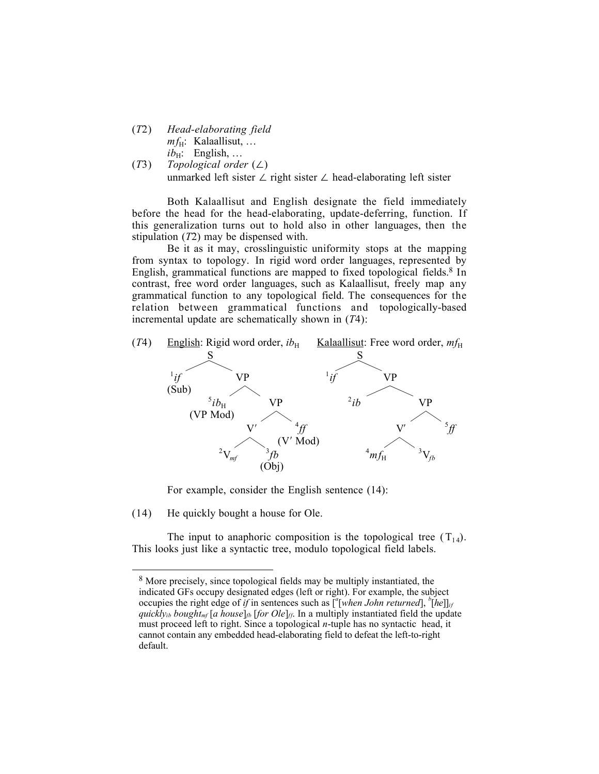- (*T*2) *Head-elaborating field*  $mf_H$ : Kalaallisut, ...  $ib_H$ : English, ...
- (*T*3) *Topological order* (∠) unmarked left sister ∠ right sister ∠ head-elaborating left sister

Both Kalaallisut and English designate the field immediately before the head for the head-elaborating, update-deferring, function. If this generalization turns out to hold also in other languages, then the stipulation (*T*2) may be dispensed with.

Be it as it may, crosslinguistic uniformity stops at the mapping from syntax to topology. In rigid word order languages, represented by English, grammatical functions are mapped to fixed topological fields.<sup>8</sup> In contrast, free word order languages, such as Kalaallisut, freely map any grammatical function to any topological field. The consequences for the relation between grammatical functions and topologically-based incremental update are schematically shown in (*T*4):



For example, consider the English sentence (14):

(14) He quickly bought a house for Ole.

 $\overline{a}$ 

The input to anaphoric composition is the topological tree  $(T_{14})$ . This looks just like a syntactic tree, modulo topological field labels.

<sup>&</sup>lt;sup>8</sup> More precisely, since topological fields may be multiply instantiated, the indicated GFs occupy designated edges (left or right). For example, the subject occupies the right edge of *if* in sentences such as  $\binom{a}{b}$  *k bohn returned*],  $\binom{b}{b}$ *[he*]]*<sub>if</sub> quickly<sub>ib</sub> bought<sub>mf</sub>* [*a house*]<sub>*fb*</sub> [*for Ole*]<sub>*ff*</sub>. In a multiply instantiated field the update must proceed left to right. Since a topological *n*-tuple has no syntactic head, it cannot contain any embedded head-elaborating field to defeat the left-to-right default.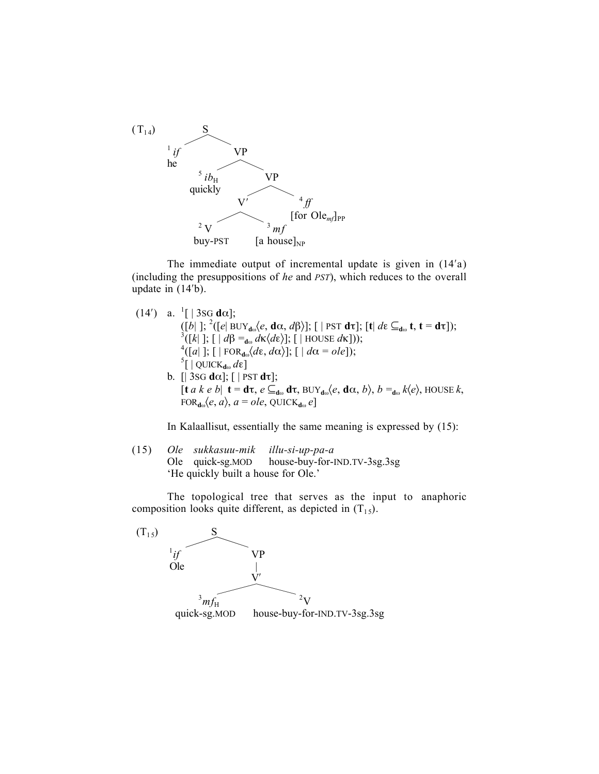

The immediate output of incremental update is given in (14′a) (including the presuppositions of *he* and *PST*), which reduces to the overall update in (14′b).

(14') a.  $^{1}$ [|3sG d $\alpha$ ];  $([b]$  ]; <sup>2</sup>( $[e]$  BUY<sub>dω</sub> $\langle e, \mathbf{d}\alpha, d\beta \rangle$ ];  $[ \ ]$  PST  $\mathbf{d}\tau$ ];  $[\mathbf{t}]$   $d\varepsilon \subseteq_{\mathbf{d}\omega} \mathbf{t}, \mathbf{t} = \mathbf{d}\tau$ ]); <sup>3</sup>([*k*| ]; [ | *d*β =<sub>dω</sub> *d*κ $\langle d\epsilon \rangle$ ]; [ | HOUSE *d*κ]));<br>
<sup>4</sup>([*a*| ]; [ | FOR<sub>dω</sub> $\langle d\epsilon, d\alpha \rangle$ ]; [ | *d*α = *ole*]); <sup>5</sup>[ | QUICK<sub>dω</sub> dε] b.  $[$  3sG d $\alpha$ ];  $[$  | PST d $\tau$ ];  $[\mathbf{t} \ a \ k \ e \ b] \ \mathbf{t} = \mathbf{d} \tau, \ e \subseteq_{\mathbf{d}\omega} \mathbf{d} \tau, \text{ BUY}_{\mathbf{d}\omega}\langle e, \mathbf{d}\alpha, b \rangle, \ b =_{\mathbf{d}\omega} k\langle e \rangle, \text{HOUSE } k,$  $FOR_{d\omega}\langle e, a \rangle, a = ole, QUICK_{d\omega}e$ 

In Kalaallisut, essentially the same meaning is expressed by (15):

(15) *Ole sukkasuu-mik illu-si-up-pa-a*  Ole quick-sg.MOD house-buy-for-IND.TV-3sg.3sg 'He quickly built a house for Ole.'

The topological tree that serves as the input to anaphoric composition looks quite different, as depicted in  $(T_{15})$ .

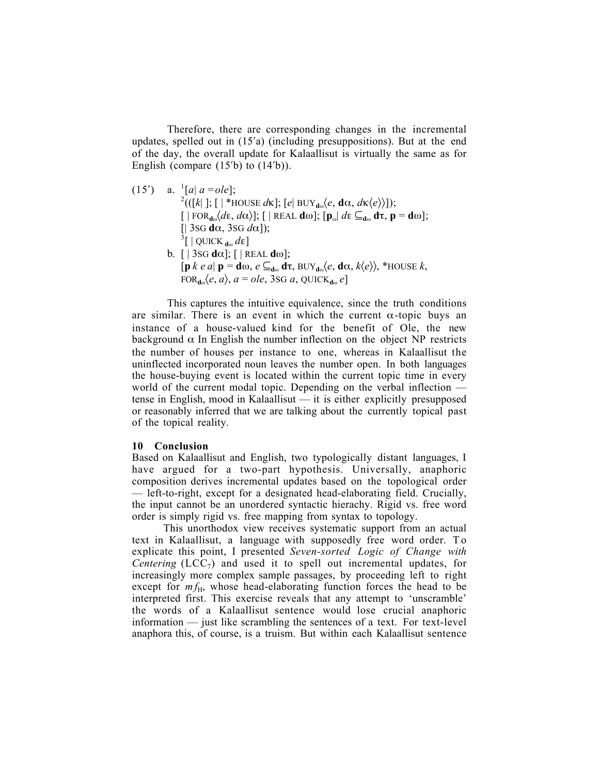Therefore, there are corresponding changes in the incremental updates, spelled out in (15′a) (including presuppositions). But at the end of the day, the overall update for Kalaallisut is virtually the same as for English (compare  $(15<sup>'</sup>b)$  to  $(14<sup>'</sup>b)$ ).

(15') a.  ${}^{1}[a|a = ole]$ ;<br><sup>2</sup>(([k| ]; [ | \*HOUSE *d*k]; [*e*| BUY<sub>dω</sub> $\langle e, \mathbf{d}\alpha, d\kappa \langle e \rangle$ ]);  $\left[ \int \left[ FOR_{d\omega} \langle d\varepsilon, d\alpha \rangle \right] \right]$ ;  $\left[ \int \left[ REAL d\omega \right] \right]$ ;  $\left[ \mathbf{p}_{\omega} \right] d\varepsilon \subseteq_{d\omega} d\tau$ ,  $\mathbf{p} = d\omega \right]$ ; [| 3SG dα, 3SG *d*α]); 3 [ | QUICK <sup>d</sup><sup>ω</sup> *d*ε] b.  $[ | 3SG d\alpha]$ ;  $[ | REAL d\omega]$ ;  $[p \; k \; e \; a] \; \mathbf{p} = \mathbf{d} \omega, \, e \subseteq_{\mathbf{d} \omega} \mathbf{d} \tau, \, \text{BUY}_{\mathbf{d} \omega} \langle e, \, \mathbf{d} \alpha, \, k \langle e \rangle \rangle, \, \text{*HOUSE } k,$  $FOR_{d\omega}\langle e, a \rangle$ ,  $a = ole$ , 3sG  $a$ , QUICK<sub>dω</sub>  $e$ 

This captures the intuitive equivalence, since the truth conditions are similar. There is an event in which the current  $\alpha$ -topic buys an instance of a house-valued kind for the benefit of Ole, the new background  $\alpha$  In English the number inflection on the object NP restricts the number of houses per instance to one, whereas in Kalaallisut the uninflected incorporated noun leaves the number open. In both languages the house-buying event is located within the current topic time in every world of the current modal topic. Depending on the verbal inflection tense in English, mood in Kalaallisut — it is either explicitly presupposed or reasonably inferred that we are talking about the currently topical past of the topical reality.

## 10 Conclusion

Based on Kalaallisut and English, two typologically distant languages, I have argued for a two-part hypothesis. Universally, anaphoric composition derives incremental updates based on the topological order — left-to-right, except for a designated head-elaborating field. Crucially, the input cannot be an unordered syntactic hierachy. Rigid vs. free word order is simply rigid vs. free mapping from syntax to topology.

This unorthodox view receives systematic support from an actual text in Kalaallisut, a language with supposedly free word order. T o explicate this point, I presented *Seven-sorted Logic of Change with Centering* (LCC<sub>7</sub>) and used it to spell out incremental updates, for increasingly more complex sample passages, by proceeding left to right except for  $m f_H$ , whose head-elaborating function forces the head to be interpreted first. This exercise reveals that any attempt to 'unscramble' the words of a Kalaallisut sentence would lose crucial anaphoric information — just like scrambling the sentences of a text. For text-level anaphora this, of course, is a truism. But within each Kalaallisut sentence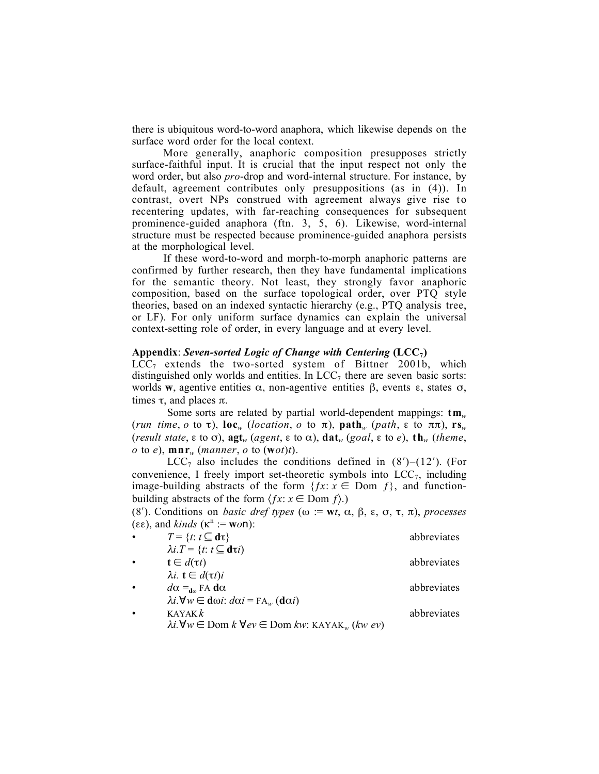there is ubiquitous word-to-word anaphora, which likewise depends on the surface word order for the local context.

More generally, anaphoric composition presupposes strictly surface-faithful input. It is crucial that the input respect not only the word order, but also *pro*-drop and word-internal structure. For instance, by default, agreement contributes only presuppositions (as in (4)). In contrast, overt NPs construed with agreement always give rise to recentering updates, with far-reaching consequences for subsequent prominence-guided anaphora (ftn. 3, 5, 6). Likewise, word-internal structure must be respected because prominence-guided anaphora persists at the morphological level.

If these word-to-word and morph-to-morph anaphoric patterns are confirmed by further research, then they have fundamental implications for the semantic theory. Not least, they strongly favor anaphoric composition, based on the surface topological order, over PTQ style theories, based on an indexed syntactic hierarchy (e.g., PTQ analysis tree, or LF). For only uniform surface dynamics can explain the universal context-setting role of order, in every language and at every level.

#### Appendix: *Seven-sorted Logic of Change with Centering* (LCC7)

 $LCC<sub>7</sub>$  extends the two-sorted system of Bittner 2001b, which distinguished only worlds and entities. In  $LCC<sub>7</sub>$  there are seven basic sorts: worlds w, agentive entities  $\alpha$ , non-agentive entities  $\beta$ , events  $\varepsilon$ , states  $\sigma$ , times τ, and places π.

Some sorts are related by partial world-dependent mappings: tm*<sup>w</sup>* (*run time*, *o* to  $\tau$ ), loc<sub>*w*</sub> (*location*, *o* to  $\pi$ ), path<sub>*w*</sub> (*path*,  $\epsilon$  to  $\pi\pi$ ), rs<sub>*w*</sub> (*result state*,  $\varepsilon$  to  $\sigma$ ),  $\text{agt}_w$  (*agent*,  $\varepsilon$  to  $\alpha$ ),  $\text{dat}_w$  (*goal*,  $\varepsilon$  to *e*),  $\text{th}_w$  (*theme*,  $o$  to  $e$ ),  $\mathbf{mnr}_w$  (*manner*,  $o$  to (**w** $o$ *t*)*t*).

LCC<sub>7</sub> also includes the conditions defined in  $(8')$ – $(12')$ . (For convenience, I freely import set-theoretic symbols into  $LCC<sub>7</sub>$ , including image-building abstracts of the form  $\{fx: x \in \text{Dom } f\}$ , and functionbuilding abstracts of the form  $\langle fx : x \in \text{Dom } f \rangle$ .)

(8′). Conditions on *basic dref types* (ω := w*t*, α, β, ε, σ, τ, π), *processes* (εε), and *kinds* ( $\kappa^n := \text{won}$ ):

| $\bullet$ | $T = \{t: t \subseteq d\tau\}$                                                           | abbreviates |
|-----------|------------------------------------------------------------------------------------------|-------------|
|           | $\lambda i.T = \{t: t \subseteq d\tau i\}$                                               |             |
| $\bullet$ | $\mathbf{t} \in d(\tau t)$                                                               | abbreviates |
|           | $\lambda i.$ <b>t</b> $\in d(\tau t)i$                                                   |             |
| $\bullet$ | $d\alpha =_{d\omega}$ FA d $\alpha$                                                      | abbreviates |
|           | $\lambda i. \forall w \in \text{d}\omega i$ : $d\alpha i = F A_w (\text{d}\alpha i)$     |             |
| $\bullet$ | KAYAK $k$<br>$1\cdot U$ $\subset$ $D$ $1\cdot U$ $\subset$ $D$ $1$ $\cdots$ $(1\cdot V)$ | abbreviates |

| $\lambda i. \forall w \in \text{Dom } k \ \forall ev \in \text{Dom } kw$ : KAYAK <sub>w</sub> (kw ev) |  |
|-------------------------------------------------------------------------------------------------------|--|
|-------------------------------------------------------------------------------------------------------|--|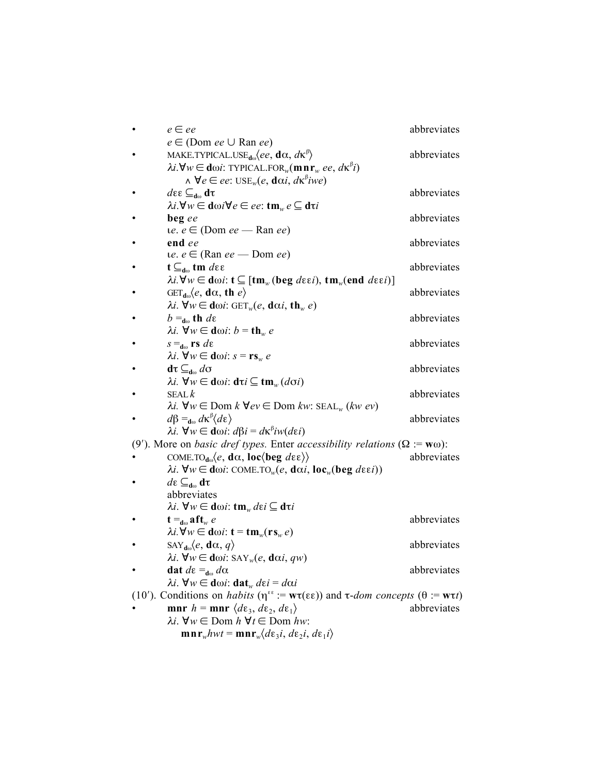|                                                                                                                                                          | $e \in ee$                                                                                                                                                     | abbreviates |  |  |
|----------------------------------------------------------------------------------------------------------------------------------------------------------|----------------------------------------------------------------------------------------------------------------------------------------------------------------|-------------|--|--|
|                                                                                                                                                          | $e \in (Dom ee \cup Ran ee)$                                                                                                                                   |             |  |  |
|                                                                                                                                                          | MAKE.TYPICAL.USE <sub>dω</sub> $\langle ee, \mathbf{d}\alpha, d\kappa^{\beta}\rangle$                                                                          | abbreviates |  |  |
|                                                                                                                                                          | $\lambda i. \forall w \in \text{d}\omega i$ : TYPICAL.FOR <sub>w</sub> (mnr <sub>w</sub> ee, dk <sup>p</sup> i)                                                |             |  |  |
|                                                                                                                                                          | $\wedge \forall e \in ee$ : USE <sub>w</sub> $(e, \text{d}\alpha i, d\kappa^{\beta} iwe)$                                                                      |             |  |  |
|                                                                                                                                                          | $d\varepsilon \varepsilon \subseteq_{d\omega} d\tau$                                                                                                           | abbreviates |  |  |
|                                                                                                                                                          | $\lambda i. \forall w \in \text{d}\omega i \forall e \in ee$ : tm <sub>w</sub> $e \subseteq \text{d}\tau i$                                                    |             |  |  |
|                                                                                                                                                          | beg ee                                                                                                                                                         | abbreviates |  |  |
|                                                                                                                                                          | $ie. e \in (Dom ee - Ran ee)$                                                                                                                                  |             |  |  |
|                                                                                                                                                          | end ee                                                                                                                                                         | abbreviates |  |  |
|                                                                                                                                                          | $ue. e \in (Ran ee - Dom ee)$                                                                                                                                  |             |  |  |
|                                                                                                                                                          | $t \subseteq_{d\omega}$ tm $d\epsilon$ ε                                                                                                                       | abbreviates |  |  |
|                                                                                                                                                          | $\lambda i. \forall w \in \text{d}\omega i$ : t $\subseteq [\text{tm}_{w}(\text{beg } d\epsilon \epsilon i), \text{tm}_{w}(\text{end } d\epsilon \epsilon i)]$ |             |  |  |
|                                                                                                                                                          | $GET_{d\omega}\langle e, d\alpha, th\rangle$                                                                                                                   | abbreviates |  |  |
|                                                                                                                                                          | $\lambda i. \ \forall w \in \text{d}\omega i$ : GET <sub>w</sub> (e, dai, th <sub>w</sub> e)                                                                   |             |  |  |
|                                                                                                                                                          | $b =_{d\omega}$ th $d\varepsilon$                                                                                                                              | abbreviates |  |  |
|                                                                                                                                                          | $\lambda i. \ \forall w \in \text{d}\omega i$ : $b = \text{th}_w e$                                                                                            |             |  |  |
|                                                                                                                                                          | $s =_{d\omega}$ rs de                                                                                                                                          | abbreviates |  |  |
|                                                                                                                                                          | $\lambda i. \ \forall w \in \text{d}\omega i$ : $s = \text{rs}_w e$                                                                                            |             |  |  |
|                                                                                                                                                          | $d\tau \subseteq_{d\omega} d\sigma$                                                                                                                            | abbreviates |  |  |
|                                                                                                                                                          | $\lambda$ <i>i</i> . ∀ <i>w</i> ∈ dω <i>i</i> : dτ <i>i</i> ⊆ tm <sub><i>w</i></sub> (dσ <i>i</i> )                                                            |             |  |  |
|                                                                                                                                                          | SEAL $k$                                                                                                                                                       | abbreviates |  |  |
|                                                                                                                                                          | $\lambda i. \forall w \in \text{Dom } k \ \forall ev \in \text{Dom } kw$ : SEAL <sub>w</sub> (kw ev)                                                           |             |  |  |
|                                                                                                                                                          | $d\beta =_{d\omega} d\kappa^{\beta} (d\varepsilon)$                                                                                                            | abbreviates |  |  |
|                                                                                                                                                          | $\lambda i. \ \forall w \in \text{d}\omega i$ : $d\beta i = d\kappa^{\beta}iw(d\epsilon i)$                                                                    |             |  |  |
|                                                                                                                                                          | (9'). More on <i>basic dref types</i> . Enter <i>accessibility relations</i> ( $\Omega := w\omega$ ):                                                          |             |  |  |
|                                                                                                                                                          | COME.TO <sub>dω</sub> $\langle e, \, \mathbf{d}\alpha, \, \mathbf{loc} \langle \mathbf{beg} \, d\epsilon \epsilon \rangle \rangle$                             | abbreviates |  |  |
|                                                                                                                                                          | $\lambda i$ . ∀w ∈ dω <i>i</i> : COME.TO <sub>w</sub> (e, dα <i>i</i> , loc <sub>w</sub> (beg dεε <i>i</i> ))                                                  |             |  |  |
|                                                                                                                                                          | $d\varepsilon \subseteq_{\mathbf{d}\omega} \mathbf{d}\tau$                                                                                                     |             |  |  |
|                                                                                                                                                          | abbreviates                                                                                                                                                    |             |  |  |
|                                                                                                                                                          | $\lambda$ <i>i</i> . ∀ <i>w</i> ∈ dω <i>i</i> : <b>tm</b> <sub><i>w</i></sub> $d\epsilon$ <i>i</i> ⊆ dτ <i>i</i>                                               |             |  |  |
|                                                                                                                                                          | $\mathbf{t} =_{\mathbf{d}\omega} \mathbf{a} \mathbf{f} \mathbf{t}_{w}$ e                                                                                       | abbreviates |  |  |
|                                                                                                                                                          | $\lambda i. \forall w \in \text{d}\omega i$ : $\mathbf{t} = \text{tm}_{w}(\mathbf{r}\mathbf{s}_{w}e)$                                                          |             |  |  |
|                                                                                                                                                          | SAY <sub>d<math>\omega</math></sub> $\langle e, \mathbf{d}\alpha, q \rangle$                                                                                   | abbreviates |  |  |
|                                                                                                                                                          | $\lambda i.$ $\forall w \in d\omega i$ : SAY <sub>w</sub> $(e, d\alpha i, qw)$                                                                                 |             |  |  |
|                                                                                                                                                          | dat $d\varepsilon =_{d\omega} d\alpha$                                                                                                                         | abbreviates |  |  |
|                                                                                                                                                          | $\lambda i. \ \forall w \in \text{d}\omega i$ : dat <sub>w</sub> $d\epsilon i = d\alpha i$                                                                     |             |  |  |
| (10'). Conditions on <i>habits</i> ( $\eta^{\epsilon\epsilon}$ := $w\tau(\epsilon\epsilon)$ ) and $\tau$ - <i>dom concepts</i> ( $\theta$ := $w\tau t$ ) |                                                                                                                                                                |             |  |  |
|                                                                                                                                                          | mnr $h = \text{mnr } \langle d\varepsilon_3, d\varepsilon_2, d\varepsilon_1 \rangle$                                                                           | abbreviates |  |  |
|                                                                                                                                                          | $\lambda i.$ $\forall w \in$ Dom $h \forall t \in$ Dom $h w$ :                                                                                                 |             |  |  |
|                                                                                                                                                          | $\mathbf{m n r_w} hwt = \mathbf{m n r_w} \langle d\varepsilon_3 i, d\varepsilon_2 i, d\varepsilon_1 i \rangle$                                                 |             |  |  |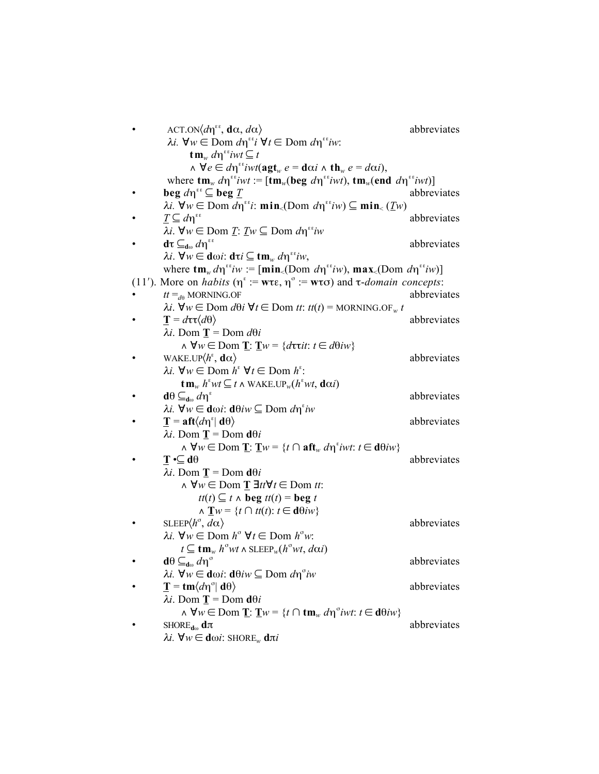| $\text{ACT.ON}\langle d\eta^{\epsilon\epsilon}, \mathbf{d}\alpha, d\alpha \rangle$                                                                              | abbreviates |
|-----------------------------------------------------------------------------------------------------------------------------------------------------------------|-------------|
| $\lambda i. \ \forall w \in \text{Dom } d\eta^{\epsilon\epsilon} i \ \forall t \in \text{Dom } d\eta^{\epsilon\epsilon} i w.$                                   |             |
| $\tan_w d\eta^{\epsilon\epsilon}$ iwt $\subseteq t$                                                                                                             |             |
| $\wedge \forall e \in d\eta^{i}$ iwt $(\text{agt}_{w} e = \text{d}\alpha i \wedge \text{th}_{w} e = d\alpha i),$                                                |             |
| where $\tan_w d\eta^{*v}ivt := [\tan_w(\text{beg } d\eta^{*v}ivt), \text{tm}_w(\text{end } d\eta^{*v}ivt)]$                                                     |             |
| beg $d\eta^{\epsilon\epsilon} \subseteq$ beg $\underline{T}$                                                                                                    | abbreviates |
| $\lambda i. \ \forall w \in \text{Dom } d\eta^{st}$ i: $\min_{\leq} (\text{Dom } d\eta^{st} w) \subseteq \min_{\leq} (\underline{T}w)$                          |             |
| $\underline{T}\subseteq d\eta^{\varepsilon\varepsilon}$                                                                                                         | abbreviates |
| $\lambda i.$ $\forall w \in \text{Dom } \underline{T}$ : $\underline{T}w \subseteq \text{Dom } d\eta^{i\ell}iw$                                                 |             |
| $d\tau \subseteq_{d\omega} d\eta^{\epsilon\epsilon}$                                                                                                            | abbreviates |
| $λi$ . $\forall w \in dωi$ : $d\tau i \subseteq \text{tm}_{w} dηεε i w$ ,                                                                                       |             |
| where $tm_w d\eta^{i\epsilon} i w := [min_{\epsilon}(Dom d\eta^{i\epsilon} i w), max_{\epsilon}(Dom d\eta^{i\epsilon} i w)]$                                    |             |
| (11'). More on <i>habits</i> ( $\eta^* := w\tau \varepsilon$ , $\eta^{\sigma} := w\tau \sigma$ ) and $\tau$ - <i>domain concepts</i> :                          |             |
| $tt =_{d\theta}$ MORNING.OF                                                                                                                                     | abbreviates |
| $\lambda i. \forall w \in \text{Dom } d\theta i \ \forall t \in \text{Dom } tt$ : $tt(t) = \text{MORNING.OF}_{w} t$                                             |             |
| $\mathbf{T} = d\mathbf{\tau}\mathbf{\tau}\langle d\theta \rangle$                                                                                               | abbreviates |
| $\lambda i$ . Dom <b>T</b> = Dom $d\theta i$                                                                                                                    |             |
| $\wedge \forall w \in \text{Dom } \mathbf{I}: \mathbf{I}w = \{d\tau \tau \in d\theta \}$                                                                        |             |
| WAKE.UP $\langle h^{\epsilon}, \mathbf{d}\alpha \rangle$                                                                                                        | abbreviates |
| $\lambda i. \ \forall w \in \text{Dom } h^{\epsilon} \ \forall t \in \text{Dom } h^{\epsilon}$ :                                                                |             |
| $\operatorname{tm}_{w} h^{\epsilon}wt \subseteq t \wedge \operatorname{WAKE.UP}_{w}(h^{\epsilon}wt, \operatorname{d}\alpha i)$                                  |             |
| $d\theta \subseteq_{d_{\omega}} d\eta^{\epsilon}$                                                                                                               | abbreviates |
| $\lambda i. \ \forall w \in \text{d}\omega i$ : $\text{d}\theta i w \subseteq \text{Dom } d\eta^* i w$                                                          |             |
| $\mathbf{T} = \mathbf{a} \mathbf{f} \mathbf{t} \langle d \eta^{\epsilon}   \mathbf{d} \theta \rangle$                                                           | abbreviates |
| $\lambda i$ . Dom <b>T</b> = Dom <b>d</b> $\theta i$                                                                                                            |             |
| $\wedge \forall w \in \text{Dom } \mathbf{I}: \mathbf{I}w = \{t \cap \mathbf{aft}_{w} \, d\eta^{\epsilon} \, \text{ivt}: t \in \mathbf{d}\theta \, \text{iv}\}$ |             |
| $\mathbf{T} \cdot \subseteq \mathbf{d}\theta$                                                                                                                   | abbreviates |
| $\lambda i$ . Dom <b>T</b> = Dom <b>d</b> $\theta i$                                                                                                            |             |
| $\wedge \forall w \in \text{Dom } \mathbf{T} \exists tt \forall t \in \text{Dom } tt$ :                                                                         |             |
| $tt(t) \subseteq t \wedge \text{beg } tt(t) = \text{beg } t$                                                                                                    |             |
| $\wedge \mathbf{T}w = \{t \cap tt(t): t \in d\theta iw\}$                                                                                                       |             |
| SLEEP $\langle h^{\sigma}, d\alpha \rangle$                                                                                                                     | abbreviates |
| $\lambda i. \ \forall w \in \text{Dom } h^{\circ} \ \forall t \in \text{Dom } h^{\circ}w.$                                                                      |             |
| $t \subseteq \mathbf{tm}_w$ $h^{\sigma}wt \wedge \mathrm{SLEEP}_w(h^{\sigma}wt, d\alpha i)$                                                                     |             |
| $d\theta \subseteq_{d\omega} d\eta^{\sigma}$                                                                                                                    | abbreviates |
| $λi$ . $\forall w \in d\omega i$ : $d\theta iw \subseteq$ Dom $d\eta^{\circ}iw$                                                                                 |             |
| $\mathbf{T} = \mathbf{tm}\langle d\eta^{\circ}   \mathbf{d}\theta \rangle$                                                                                      | abbreviates |
| $\lambda i$ . Dom <b>T</b> = Dom <b>d</b> $\theta i$                                                                                                            |             |
| $\wedge \forall w \in \text{Dom } \mathbf{I}: \mathbf{I}w = \{t \cap \mathbf{tm}_w \, d\eta^{\circ} w t: t \in \mathbf{d}\theta \}$                             |             |
| SHORE <sub>d<math>\omega</math></sub> d $\pi$                                                                                                                   | abbreviates |
| $\lambda i. \ \forall w \in \text{d}\omega i$ : SHORE <sub>w</sub> dπi                                                                                          |             |
|                                                                                                                                                                 |             |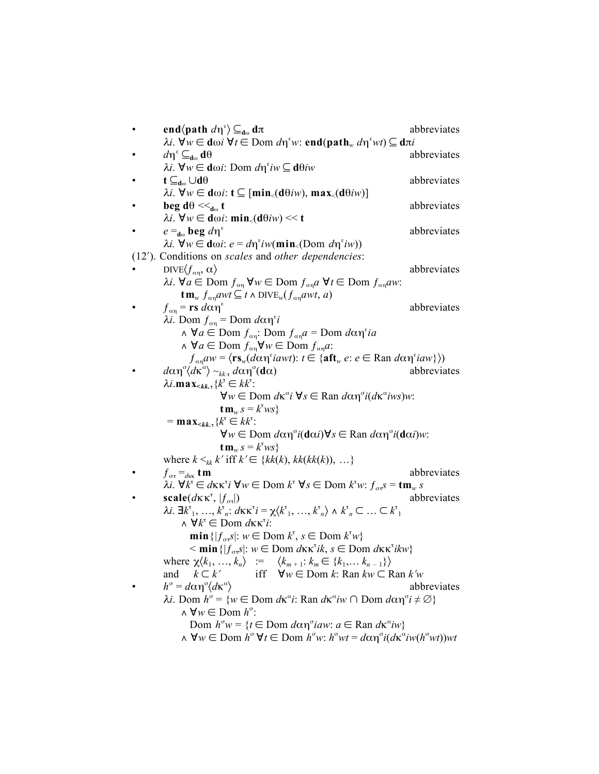end $\langle$ path  $d\eta^{\epsilon} \rangle \subseteq_{d\omega} d\pi$ abbreviates  $\lambda$ *i*. ∀*w* ∈ dω*i* ∀*t* ∈ Dom *d*η<sup>ε</sup>w: end(path<sub>w</sub> dη<sup>ε</sup>wt) ⊆ dπ*i*  $d\eta^{\epsilon} \subseteq_{d\omega} d\theta$  abbreviates <sup>λ</sup>*i*. ∀*w* ∈ dω*i*: Dom *d*η<sup>ε</sup> *iw* ⊆ dθ*iw*  $\mathbf{t} \subseteq_{\mathbf{d}\omega} \cup \mathbf{d}\theta$  abbreviates <sup>λ</sup>*i*. ∀*w* ∈ dω*i*: t ⊆ [min<(dθ*iw*), max<(dθ*iw*)] **beg d**θ  $\leq_{d_0}$  **t** abbreviates  $\lambda$ *i*. ∀*w* ∈ dω*i*: min<sub><</sub>(dθ*iw*) << t  $e =_{d\omega}$  **beg**  $d\eta^e$  abbreviates *λi.*  $\forall w \in \text{d}\omega i$ : *e* = *d*η<sup>ε</sup>*iw*(min<sub><</sub>(Dom *d*η<sup>ε</sup>*iw*)) (12′). Conditions on *scales* and *other dependencies*:  $DIVE\langle f_{\alpha n}, \alpha \rangle$  abbreviates <sup>λ</sup>*i*. ∀*a* ∈ Dom ƒαη ∀*w* ∈ Dom ƒαη*a* ∀*t* ∈ Dom ƒαη*aw*:  $\tan_w f_{\alpha n} a w t \subseteq t \land \text{DIVE}_w(f_{\alpha n} a w t, a)$  $f_{\alpha n}$  = **rs**  $d\alpha n^{\epsilon}$  abbreviates  $\lambda$ *i*. Dom  $f_{\alpha\eta}$  = Dom  $d\alpha$ η<sup>ε</sup>*i* ∧ ∀*a* ∈ Dom ƒαη: Dom ƒαη*a* = Dom *d*αηε *ia*  $\wedge \forall a \in \text{Dom } f_{\alpha\eta} \forall w \in \text{Dom } f_{\alpha\eta} a$ :  $f_{\alpha\eta}aw = \langle \mathbf{rs}_w(d\alpha\eta^s iawt) : t \in \{\mathbf{aft}_w \ e : e \in \text{Ran } d\alpha\eta^s iaw\} \rangle)$ • *d*αη<sup>σ</sup> $\langle d\kappa^{\alpha} \rangle \sim_{kk,\tau} d\alpha$ η<sup>σ</sup> abbreviates <sup>λ</sup>*i*.max<*kk.*τ{*k* <sup>τ</sup> ∈ *kk*<sup>τ</sup> :  $\forall w \in \text{Dom } d\kappa^{\alpha} i \ \forall s \in \text{Ran } d\alpha \eta^{\alpha} i(d\kappa^{\alpha} iws)w$ :  $\tan_w s = k^{\text{t}}ws$  $=$ **max**<sub><kk.τ</sub> { $k^{\tau} \in kk^{\tau}$ : ∀*w* ∈ Dom *d*αησ *i*(dα*i*)∀*s* ∈ Ran *d*αησ *i*(dα*i*)*w*:  $\tan_w s = k^{\text{t}}ws$ where  $k <_{kk} k'$  iff  $k' \in \{kk(k), kk(k(k)), \ldots\}$  $f_{\sigma\tau} = d_{\kappa\kappa}$  tm abbreviates  $\lambda$ *i*. ∀*k*<sup>τ</sup> ∈ *d*κκ<sup>τ</sup>*i* ∀*w* ∈ Dom *k*<sup>τ</sup> ∀*s* ∈ Dom *k*<sup>τ</sup>*w*: *f*<sub>στ</sub>*s* = **tm**<sub>*w*</sub> *s*  $\text{scale}(d\kappa \kappa^{\tau}, |f_{\sigma\tau}|)$ abbreviates *λi*. **∃** $k^{\text{t}}$ <sub>1</sub>, …,  $k^{\text{t}}$ <sub>*n*</sub>: *d*κκ<sup>τ</sup>*i*</sub> = χ $\langle k^{\text{t}}$ <sub>1</sub>, …,  $k^{\text{t}}$ <sub>*n*</sub>  $\rangle$  ∧  $k^{\text{t}}$ <sub>*n*</sub> ⊂ … ⊂  $k^{\text{t}}$ <sub>1</sub>  $\land$   $\forall k^{\tau}$  ∈ Dom *d*κκ<sup>τ</sup>*i*:  $\min \{ |f_{\sigma \tau} s| : w \in \text{Dom } k^{\tau}, s \in \text{Dom } k^{\tau} w \}$  $\leq$  **min** { $|f_{\sigma\tau}s|$ :  $w \in$  Dom *d* $\kappa\kappa^{\tau}ik$ ,  $s \in$  Dom *d* $\kappa\kappa^{\tau}ikw$ } where  $\chi \langle k_1, ..., k_n \rangle$  :=  $\langle k_{m+1}: k_m \in \{k_1, ..., k_{n-1}\} \rangle$ and  $k \subset k'$  iff ∀*w* ∈ Dom *k*: Ran  $kw \subset \text{Ran } k'w$ •  $h^{\circ} = d\alpha \eta^{\circ} \langle d\kappa^{\alpha} \rangle$ 〉 abbreviates *λi*. Dom *h*<sup>σ</sup> = {*w* ∈ Dom *d*κ<sup>α</sup>*i*: Ran *d*κ<sup>α</sup>*iw* ∩ Dom *d*αη<sup>σ</sup>*i* ≠ ∅}  $\wedge \forall w \in \text{Dom } h^{\circ}$ : Dom  $h^{\sigma} w = {t \in$  Dom *d*αη<sup>σ</sup>*iaw*: *a* ∈ Ran *d*κ<sup>α</sup>*iw*}  $\Lambda$   $\forall w \in \text{Dom } h^{\circ} \forall t \in \text{Dom } h^{\circ}w$ :  $h^{\circ}wt = d\alpha \eta^{\circ}i(d\kappa^{\circ}iw(h^{\circ}wt))wt$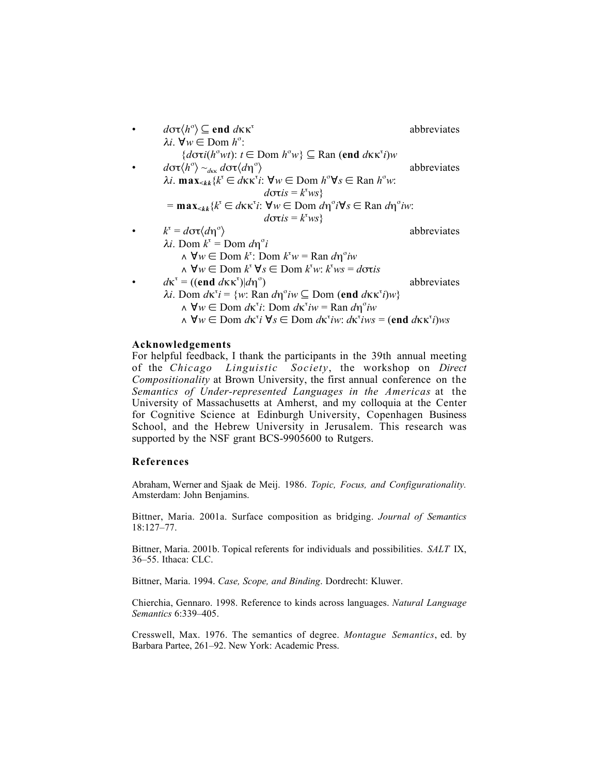\n- \n
$$
d\sigma\tau\langle h^{\circ}\rangle \subseteq \mathbf{end} d\kappa\kappa^{\tau}
$$
\n
\n- \n
$$
\lambda i. \nabla w \in \text{Dom } h^{\circ}:
$$
\n
$$
\{\text{d}\sigma\tau\langle h^{\circ}w\tau\rangle : t \in \text{Dom } h^{\circ}w\} \subseteq \text{Ran }(\mathbf{end} d\kappa\kappa^{\tau}i)w
$$
\n
\n- \n
$$
d\sigma\tau\langle h^{\circ}\rangle \sim_{d\kappa\kappa} d\sigma\tau\langle d\eta^{\circ}\rangle
$$
\n
\n- \n
$$
\lambda i. \max_{< k} \{k^{\tau} \in d\kappa\kappa^{\tau}i : \nabla w \in \text{Dom } h^{\circ}\nabla s \in \text{Ran } h^{\circ}w:
$$
\n
$$
\text{d}\sigma\tau is = k^{\tau}ws\}
$$
\n
\n- \n
$$
= \max_{< k} \{k^{\tau} \in d\kappa\kappa^{\tau}i : \nabla w \in \text{Dom } d\eta^{\circ}i\nabla s \in \text{Ran } d\eta^{\circ}iw:
$$
\n
$$
\text{d}\sigma\tau is = k^{\tau}ws\}
$$
\n
\n- \n
$$
\lambda^{\tau} = d\sigma\tau\langle d\eta^{\circ}\rangle
$$
\n
\n- \n
$$
\lambda^{\tau} = \text{Dom } d\eta^{\circ}i
$$
\n
\n- \n
$$
\lambda \nabla w \in \text{Dom } h^{\tau}v = \text{Ran } d\eta^{\circ}iw
$$
\n
\n- \n
$$
\lambda \nabla w \in \text{Dom } h^{\tau}v = \text{Ran } d\eta^{\circ}iw
$$
\n
\n- \n
$$
\lambda \nabla w \in \text{Dom } h^{\tau}v = \text{Ran } d\eta^{\circ}iw
$$
\n
\n- \n
$$
\text{ab}h\tau^{\tau} = ((\mathbf{end } d\kappa\kappa^{\tau})|d\eta^{\circ})
$$
\n
\n- \n
$$
\lambda^{\tau} = ((\mathbf{end } d\kappa\kappa^{\tau}i) \in
$$

## Acknowledgements

For helpful feedback, I thank the participants in the 39th annual meeting of the *Chicago Linguistic Society*, the workshop on *Direct Compositionality* at Brown University, the first annual conference on the *Semantics of Under-represented Languages in the Americas* at the University of Massachusetts at Amherst, and my colloquia at the Center for Cognitive Science at Edinburgh University, Copenhagen Business School, and the Hebrew University in Jerusalem. This research was supported by the NSF grant BCS-9905600 to Rutgers.

## References

Abraham, Werner and Sjaak de Meij. 1986. *Topic, Focus, and Configurationality.* Amsterdam: John Benjamins.

Bittner, Maria. 2001a. Surface composition as bridging. *Journal of Semantics* 18:127–77.

Bittner, Maria. 2001b. Topical referents for individuals and possibilities. *SALT* IX, 36–55. Ithaca: CLC.

Bittner, Maria. 1994. *Case, Scope, and Binding*. Dordrecht: Kluwer.

Chierchia, Gennaro. 1998. Reference to kinds across languages. *Natural Language Semantics* 6:339–405.

Cresswell, Max. 1976. The semantics of degree. *Montague Semantics*, ed. by Barbara Partee, 261–92. New York: Academic Press.